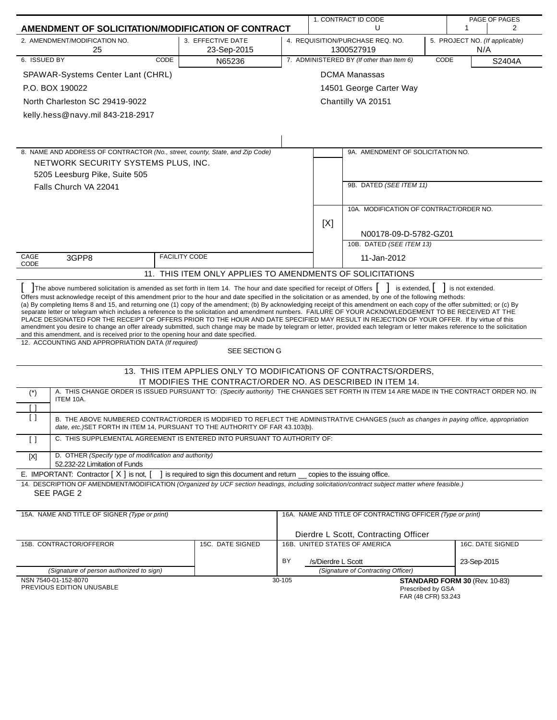|                                                           |                                                                                                                                                                                                                                                                                                                                                                                                                                                                                                                                                                                                                                                                                                                                                                                                                                                                                                                                                                                                                                                                                                             |                                                                  |                                                             |                    | 1. CONTRACT ID CODE<br>PAGE OF PAGES                       |  |                                       |  |
|-----------------------------------------------------------|-------------------------------------------------------------------------------------------------------------------------------------------------------------------------------------------------------------------------------------------------------------------------------------------------------------------------------------------------------------------------------------------------------------------------------------------------------------------------------------------------------------------------------------------------------------------------------------------------------------------------------------------------------------------------------------------------------------------------------------------------------------------------------------------------------------------------------------------------------------------------------------------------------------------------------------------------------------------------------------------------------------------------------------------------------------------------------------------------------------|------------------------------------------------------------------|-------------------------------------------------------------|--------------------|------------------------------------------------------------|--|---------------------------------------|--|
|                                                           | AMENDMENT OF SOLICITATION/MODIFICATION OF CONTRACT                                                                                                                                                                                                                                                                                                                                                                                                                                                                                                                                                                                                                                                                                                                                                                                                                                                                                                                                                                                                                                                          |                                                                  | U<br>1                                                      |                    |                                                            |  | 2                                     |  |
|                                                           | 2. AMENDMENT/MODIFICATION NO.<br>25                                                                                                                                                                                                                                                                                                                                                                                                                                                                                                                                                                                                                                                                                                                                                                                                                                                                                                                                                                                                                                                                         | 3. EFFECTIVE DATE<br>23-Sep-2015                                 |                                                             |                    | 4. REQUISITION/PURCHASE REQ. NO.<br>1300527919             |  | 5. PROJECT NO. (If applicable)<br>N/A |  |
| 6. ISSUED BY                                              | <b>CODE</b>                                                                                                                                                                                                                                                                                                                                                                                                                                                                                                                                                                                                                                                                                                                                                                                                                                                                                                                                                                                                                                                                                                 | N65236                                                           | 7. ADMINISTERED BY (If other than Item 6)<br>CODE<br>S2404A |                    |                                                            |  |                                       |  |
|                                                           | SPAWAR-Systems Center Lant (CHRL)                                                                                                                                                                                                                                                                                                                                                                                                                                                                                                                                                                                                                                                                                                                                                                                                                                                                                                                                                                                                                                                                           |                                                                  |                                                             |                    | <b>DCMA Manassas</b>                                       |  |                                       |  |
|                                                           | P.O. BOX 190022                                                                                                                                                                                                                                                                                                                                                                                                                                                                                                                                                                                                                                                                                                                                                                                                                                                                                                                                                                                                                                                                                             |                                                                  |                                                             |                    | 14501 George Carter Way                                    |  |                                       |  |
|                                                           | North Charleston SC 29419-9022                                                                                                                                                                                                                                                                                                                                                                                                                                                                                                                                                                                                                                                                                                                                                                                                                                                                                                                                                                                                                                                                              |                                                                  |                                                             |                    | Chantilly VA 20151                                         |  |                                       |  |
|                                                           | kelly.hess@navy.mil 843-218-2917                                                                                                                                                                                                                                                                                                                                                                                                                                                                                                                                                                                                                                                                                                                                                                                                                                                                                                                                                                                                                                                                            |                                                                  |                                                             |                    |                                                            |  |                                       |  |
|                                                           |                                                                                                                                                                                                                                                                                                                                                                                                                                                                                                                                                                                                                                                                                                                                                                                                                                                                                                                                                                                                                                                                                                             |                                                                  |                                                             |                    |                                                            |  |                                       |  |
|                                                           |                                                                                                                                                                                                                                                                                                                                                                                                                                                                                                                                                                                                                                                                                                                                                                                                                                                                                                                                                                                                                                                                                                             |                                                                  |                                                             |                    |                                                            |  |                                       |  |
|                                                           | 8. NAME AND ADDRESS OF CONTRACTOR (No., street, county, State, and Zip Code)                                                                                                                                                                                                                                                                                                                                                                                                                                                                                                                                                                                                                                                                                                                                                                                                                                                                                                                                                                                                                                |                                                                  |                                                             |                    | 9A. AMENDMENT OF SOLICITATION NO.                          |  |                                       |  |
|                                                           | NETWORK SECURITY SYSTEMS PLUS, INC.                                                                                                                                                                                                                                                                                                                                                                                                                                                                                                                                                                                                                                                                                                                                                                                                                                                                                                                                                                                                                                                                         |                                                                  |                                                             |                    |                                                            |  |                                       |  |
|                                                           | 5205 Leesburg Pike, Suite 505                                                                                                                                                                                                                                                                                                                                                                                                                                                                                                                                                                                                                                                                                                                                                                                                                                                                                                                                                                                                                                                                               |                                                                  |                                                             |                    |                                                            |  |                                       |  |
| Falls Church VA 22041                                     |                                                                                                                                                                                                                                                                                                                                                                                                                                                                                                                                                                                                                                                                                                                                                                                                                                                                                                                                                                                                                                                                                                             |                                                                  |                                                             |                    | 9B. DATED (SEE ITEM 11)                                    |  |                                       |  |
|                                                           |                                                                                                                                                                                                                                                                                                                                                                                                                                                                                                                                                                                                                                                                                                                                                                                                                                                                                                                                                                                                                                                                                                             |                                                                  |                                                             |                    |                                                            |  |                                       |  |
|                                                           |                                                                                                                                                                                                                                                                                                                                                                                                                                                                                                                                                                                                                                                                                                                                                                                                                                                                                                                                                                                                                                                                                                             |                                                                  |                                                             |                    | 10A. MODIFICATION OF CONTRACT/ORDER NO.                    |  |                                       |  |
|                                                           |                                                                                                                                                                                                                                                                                                                                                                                                                                                                                                                                                                                                                                                                                                                                                                                                                                                                                                                                                                                                                                                                                                             |                                                                  |                                                             | [X]                |                                                            |  |                                       |  |
|                                                           |                                                                                                                                                                                                                                                                                                                                                                                                                                                                                                                                                                                                                                                                                                                                                                                                                                                                                                                                                                                                                                                                                                             |                                                                  |                                                             |                    | N00178-09-D-5782-GZ01                                      |  |                                       |  |
|                                                           |                                                                                                                                                                                                                                                                                                                                                                                                                                                                                                                                                                                                                                                                                                                                                                                                                                                                                                                                                                                                                                                                                                             |                                                                  |                                                             |                    | 10B. DATED (SEE ITEM 13)                                   |  |                                       |  |
| CAGE<br>CODE                                              | 3GPP8                                                                                                                                                                                                                                                                                                                                                                                                                                                                                                                                                                                                                                                                                                                                                                                                                                                                                                                                                                                                                                                                                                       | <b>FACILITY CODE</b>                                             |                                                             |                    | 11-Jan-2012                                                |  |                                       |  |
| 11. THIS ITEM ONLY APPLIES TO AMENDMENTS OF SOLICITATIONS |                                                                                                                                                                                                                                                                                                                                                                                                                                                                                                                                                                                                                                                                                                                                                                                                                                                                                                                                                                                                                                                                                                             |                                                                  |                                                             |                    |                                                            |  |                                       |  |
|                                                           | The above numbered solicitation is amended as set forth in Item 14. The hour and date specified for receipt of Offers<br>Offers must acknowledge receipt of this amendment prior to the hour and date specified in the solicitation or as amended, by one of the following methods:<br>(a) By completing Items 8 and 15, and returning one (1) copy of the amendment; (b) By acknowledging receipt of this amendment on each copy of the offer submitted; or (c) By<br>separate letter or telegram which includes a reference to the solicitation and amendment numbers. FAILURE OF YOUR ACKNOWLEDGEMENT TO BE RECEIVED AT THE<br>PLACE DESIGNATED FOR THE RECEIPT OF OFFERS PRIOR TO THE HOUR AND DATE SPECIFIED MAY RESULT IN REJECTION OF YOUR OFFER. If by virtue of this<br>amendment you desire to change an offer already submitted, such change may be made by telegram or letter, provided each telegram or letter makes reference to the solicitation<br>and this amendment, and is received prior to the opening hour and date specified.<br>12. ACCOUNTING AND APPROPRIATION DATA (If required) | SEE SECTION G                                                    |                                                             |                    | is extended,                                               |  | is not extended.                      |  |
|                                                           |                                                                                                                                                                                                                                                                                                                                                                                                                                                                                                                                                                                                                                                                                                                                                                                                                                                                                                                                                                                                                                                                                                             | 13. THIS ITEM APPLIES ONLY TO MODIFICATIONS OF CONTRACTS/ORDERS, |                                                             |                    |                                                            |  |                                       |  |
|                                                           |                                                                                                                                                                                                                                                                                                                                                                                                                                                                                                                                                                                                                                                                                                                                                                                                                                                                                                                                                                                                                                                                                                             | IT MODIFIES THE CONTRACT/ORDER NO. AS DESCRIBED IN ITEM 14.      |                                                             |                    |                                                            |  |                                       |  |
| $(\dot{\phantom{a}})$                                     | A. THIS CHANGE ORDER IS ISSUED PURSUANT TO: (Specify authority) THE CHANGES SET FORTH IN ITEM 14 ARE MADE IN THE CONTRACT ORDER NO. IN                                                                                                                                                                                                                                                                                                                                                                                                                                                                                                                                                                                                                                                                                                                                                                                                                                                                                                                                                                      |                                                                  |                                                             |                    |                                                            |  |                                       |  |
| $\lceil$ $\rceil$                                         | ITEM 10A.                                                                                                                                                                                                                                                                                                                                                                                                                                                                                                                                                                                                                                                                                                                                                                                                                                                                                                                                                                                                                                                                                                   |                                                                  |                                                             |                    |                                                            |  |                                       |  |
| $\left[ \ \right]$                                        | B. THE ABOVE NUMBERED CONTRACT/ORDER IS MODIFIED TO REFLECT THE ADMINISTRATIVE CHANGES (such as changes in paying office, appropriation<br>date, etc.) SET FORTH IN ITEM 14, PURSUANT TO THE AUTHORITY OF FAR 43.103(b).                                                                                                                                                                                                                                                                                                                                                                                                                                                                                                                                                                                                                                                                                                                                                                                                                                                                                    |                                                                  |                                                             |                    |                                                            |  |                                       |  |
| $\lceil$ $\rceil$                                         | C. THIS SUPPLEMENTAL AGREEMENT IS ENTERED INTO PURSUANT TO AUTHORITY OF:                                                                                                                                                                                                                                                                                                                                                                                                                                                                                                                                                                                                                                                                                                                                                                                                                                                                                                                                                                                                                                    |                                                                  |                                                             |                    |                                                            |  |                                       |  |
| $[{\sf X}]$                                               | D. OTHER (Specify type of modification and authority)<br>52.232-22 Limitation of Funds                                                                                                                                                                                                                                                                                                                                                                                                                                                                                                                                                                                                                                                                                                                                                                                                                                                                                                                                                                                                                      |                                                                  |                                                             |                    |                                                            |  |                                       |  |
|                                                           | E. IMPORTANT: Contractor $[X]$ is not,                                                                                                                                                                                                                                                                                                                                                                                                                                                                                                                                                                                                                                                                                                                                                                                                                                                                                                                                                                                                                                                                      | is required to sign this document and return                     |                                                             |                    | copies to the issuing office.                              |  |                                       |  |
|                                                           | 14. DESCRIPTION OF AMENDMENT/MODIFICATION (Organized by UCF section headings, including solicitation/contract subject matter where feasible.)                                                                                                                                                                                                                                                                                                                                                                                                                                                                                                                                                                                                                                                                                                                                                                                                                                                                                                                                                               |                                                                  |                                                             |                    |                                                            |  |                                       |  |
|                                                           | SEE PAGE 2                                                                                                                                                                                                                                                                                                                                                                                                                                                                                                                                                                                                                                                                                                                                                                                                                                                                                                                                                                                                                                                                                                  |                                                                  |                                                             |                    |                                                            |  |                                       |  |
|                                                           | 15A. NAME AND TITLE OF SIGNER (Type or print)                                                                                                                                                                                                                                                                                                                                                                                                                                                                                                                                                                                                                                                                                                                                                                                                                                                                                                                                                                                                                                                               |                                                                  |                                                             |                    | 16A. NAME AND TITLE OF CONTRACTING OFFICER (Type or print) |  |                                       |  |
|                                                           |                                                                                                                                                                                                                                                                                                                                                                                                                                                                                                                                                                                                                                                                                                                                                                                                                                                                                                                                                                                                                                                                                                             |                                                                  |                                                             |                    |                                                            |  |                                       |  |
|                                                           |                                                                                                                                                                                                                                                                                                                                                                                                                                                                                                                                                                                                                                                                                                                                                                                                                                                                                                                                                                                                                                                                                                             |                                                                  |                                                             |                    | Dierdre L Scott, Contracting Officer                       |  |                                       |  |
|                                                           | 15B. CONTRACTOR/OFFEROR                                                                                                                                                                                                                                                                                                                                                                                                                                                                                                                                                                                                                                                                                                                                                                                                                                                                                                                                                                                                                                                                                     | 15C. DATE SIGNED                                                 |                                                             |                    | 16B. UNITED STATES OF AMERICA                              |  | 16C. DATE SIGNED                      |  |
|                                                           |                                                                                                                                                                                                                                                                                                                                                                                                                                                                                                                                                                                                                                                                                                                                                                                                                                                                                                                                                                                                                                                                                                             |                                                                  | BY                                                          | /s/Dierdre L Scott |                                                            |  | 23-Sep-2015                           |  |
|                                                           | (Signature of person authorized to sign)<br>NSN 7540-01-152-8070                                                                                                                                                                                                                                                                                                                                                                                                                                                                                                                                                                                                                                                                                                                                                                                                                                                                                                                                                                                                                                            |                                                                  | 30-105                                                      |                    | (Signature of Contracting Officer)                         |  | STANDARD FORM 30 (Rev. 10-83)         |  |
|                                                           | PREVIOUS EDITION UNUSABLE                                                                                                                                                                                                                                                                                                                                                                                                                                                                                                                                                                                                                                                                                                                                                                                                                                                                                                                                                                                                                                                                                   |                                                                  |                                                             |                    | Prescribed by GSA<br>FAR (48 CFR) 53.243                   |  |                                       |  |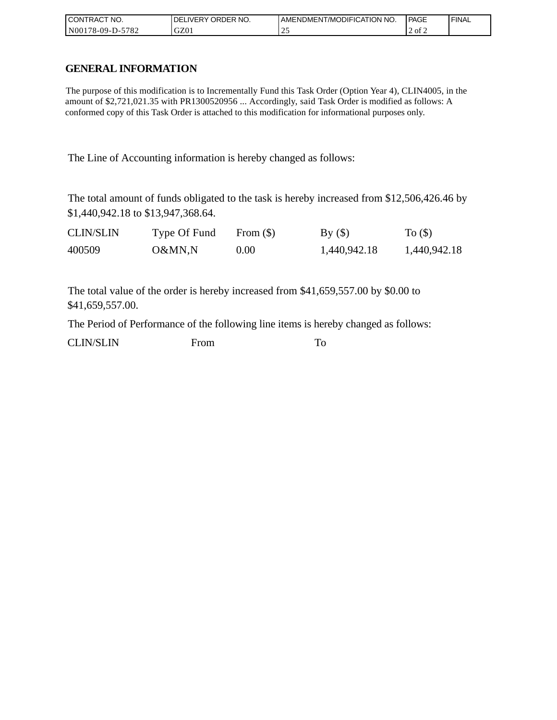| I CONTRACT NO.           | `NO.<br>DELIVERY ORDER | AMENDMENT/MODIFICATION NO. | PAGE   | ' FINAL |
|--------------------------|------------------------|----------------------------|--------|---------|
| N00178-09-D-5<br>$-5782$ | GZ01                   | <u>_</u>                   | 2 of 2 |         |

# **GENERAL INFORMATION**

The purpose of this modification is to Incrementally Fund this Task Order (Option Year 4), CLIN4005, in the amount of \$2,721,021.35 with PR1300520956 ... Accordingly, said Task Order is modified as follows: A conformed copy of this Task Order is attached to this modification for informational purposes only.

The Line of Accounting information is hereby changed as follows:

The total amount of funds obligated to the task is hereby increased from \$12,506,426.46 by \$1,440,942.18 to \$13,947,368.64.

| <b>CLIN/SLIN</b> | Type Of Fund | From $(\$)$ | By()         | To $($ \$ $)$ |
|------------------|--------------|-------------|--------------|---------------|
| 400509           | O&MN,N       | 0.00        | 1,440,942.18 | 1,440,942.18  |

The total value of the order is hereby increased from \$41,659,557.00 by \$0.00 to \$41,659,557.00.

The Period of Performance of the following line items is hereby changed as follows:

CLIN/SLIN From To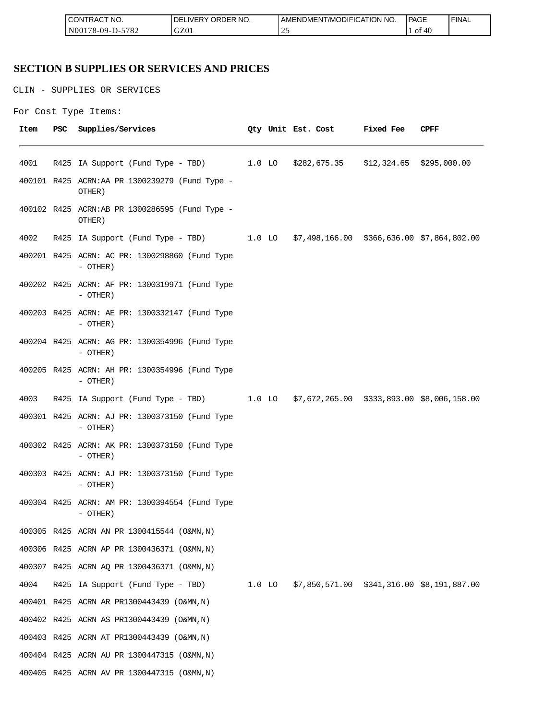| " NO.<br><b>CON</b><br>்⊓RA∟                                           | $- - -$<br>r no.<br>`)R<br>א⊐ר<br>.)F<br>$V - R$<br>ີ | DMENT/MODIFICATION NO.<br>AMENL | PAGE                           | <b>FINAL</b> |
|------------------------------------------------------------------------|-------------------------------------------------------|---------------------------------|--------------------------------|--------------|
| 5700<br>N <sub>00</sub><br>$99 - 1$<br>$'$ O $\sim$<br>$\sim$ -<br>. . | C70<br>uzu                                            | $\overline{\phantom{a}}$<br>~   | $\epsilon$<br>O1<br>41<br>$+6$ |              |

# **SECTION B SUPPLIES OR SERVICES AND PRICES**

CLIN - SUPPLIES OR SERVICES

```
For Cost Type Items:
```

| Item | PSC | Supplies/Services                                                                   |  | Qty Unit Est. Cost | <b>Fixed Fee</b> | CPFF |
|------|-----|-------------------------------------------------------------------------------------|--|--------------------|------------------|------|
| 4001 |     | R425 IA Support (Fund Type - TBD) 1.0 LO \$282,675.35 \$12,324.65 \$295,000.00      |  |                    |                  |      |
|      |     | 400101 R425 ACRN:AA PR 1300239279 (Fund Type -<br>OTHER)                            |  |                    |                  |      |
|      |     | 400102 R425 ACRN:AB PR 1300286595 (Fund Type -<br>OTHER)                            |  |                    |                  |      |
| 4002 |     | R425 IA Support (Fund Type - TBD) 1.0 LO \$7,498,166.00 \$366,636.00 \$7,864,802.00 |  |                    |                  |      |
|      |     | 400201 R425 ACRN: AC PR: 1300298860 (Fund Type<br>- OTHER)                          |  |                    |                  |      |
|      |     | 400202 R425 ACRN: AF PR: 1300319971 (Fund Type<br>- OTHER)                          |  |                    |                  |      |
|      |     | 400203 R425 ACRN: AE PR: 1300332147 (Fund Type<br>- OTHER)                          |  |                    |                  |      |
|      |     | 400204 R425 ACRN: AG PR: 1300354996 (Fund Type<br>$-$ OTHER)                        |  |                    |                  |      |
|      |     | 400205 R425 ACRN: AH PR: 1300354996 (Fund Type<br>$-$ OTHER)                        |  |                    |                  |      |
| 4003 |     | R425 IA Support (Fund Type - TBD) 1.0 LO \$7,672,265.00 \$333,893.00 \$8,006,158.00 |  |                    |                  |      |
|      |     | 400301 R425 ACRN: AJ PR: 1300373150 (Fund Type<br>$-$ OTHER)                        |  |                    |                  |      |
|      |     | 400302 R425 ACRN: AK PR: 1300373150 (Fund Type<br>- OTHER)                          |  |                    |                  |      |
|      |     | 400303 R425 ACRN: AJ PR: 1300373150 (Fund Type<br>- OTHER)                          |  |                    |                  |      |
|      |     | 400304 R425 ACRN: AM PR: 1300394554 (Fund Type<br>- OTHER)                          |  |                    |                  |      |
|      |     | 400305 R425 ACRN AN PR 1300415544 (O&MN, N)                                         |  |                    |                  |      |
|      |     | 400306 R425 ACRN AP PR 1300436371 (O&MN, N)                                         |  |                    |                  |      |
|      |     | 400307 R425 ACRN AQ PR 1300436371 (O&MN, N)                                         |  |                    |                  |      |
| 4004 |     | R425 IA Support (Fund Type - TBD) 1.0 LO \$7,850,571.00 \$341,316.00 \$8,191,887.00 |  |                    |                  |      |
|      |     | 400401 R425 ACRN AR PR1300443439 (O&MN, N)                                          |  |                    |                  |      |
|      |     | 400402 R425 ACRN AS PR1300443439 (O&MN, N)                                          |  |                    |                  |      |
|      |     | 400403 R425 ACRN AT PR1300443439 (O&MN, N)                                          |  |                    |                  |      |
|      |     | 400404 R425 ACRN AU PR 1300447315 (O&MN, N)                                         |  |                    |                  |      |
|      |     | 400405 R425 ACRN AV PR 1300447315 (O&MN, N)                                         |  |                    |                  |      |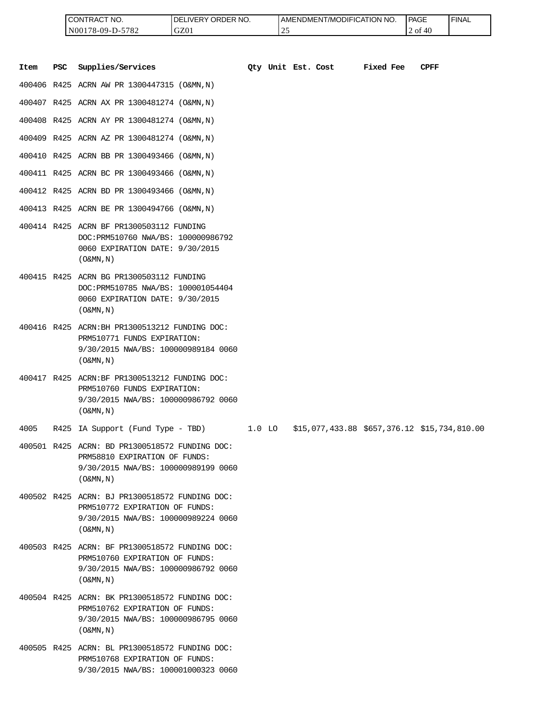| <b>ICONTRACT NO.</b> | LIVERY ORDER NO.<br>DEI | I AMENDMENT/MODIFICATION NO. | PAGE       | 'FINAL |
|----------------------|-------------------------|------------------------------|------------|--------|
| N00178-09-D-5782     | GZ01                    | $\sim$<br><u>. ب</u>         | 2 of<br>40 |        |

|      |            | CONTRACT NO.<br>N00178-09-D-5782                                                                                                                      | DELIVERY ORDER NO.<br>GZ01 |          | 25 | AMENDMENT/MODIFICATION NO.                   |           | PAGE<br>2 of 40 | <b>FINAL</b> |
|------|------------|-------------------------------------------------------------------------------------------------------------------------------------------------------|----------------------------|----------|----|----------------------------------------------|-----------|-----------------|--------------|
| Item | <b>PSC</b> | Supplies/Services                                                                                                                                     |                            |          |    | Oty Unit Est. Cost                           | Fixed Fee | <b>CPFF</b>     |              |
|      |            | 400406 R425 ACRN AW PR 1300447315 (O&MN, N)                                                                                                           |                            |          |    |                                              |           |                 |              |
|      |            | 400407 R425 ACRN AX PR 1300481274 (O&MN, N)                                                                                                           |                            |          |    |                                              |           |                 |              |
|      |            | 400408 R425 ACRN AY PR 1300481274 (O&MN, N)                                                                                                           |                            |          |    |                                              |           |                 |              |
|      |            | 400409 R425 ACRN AZ PR 1300481274 (O&MN, N)                                                                                                           |                            |          |    |                                              |           |                 |              |
|      |            | 400410 R425 ACRN BB PR 1300493466 (O&MN, N)                                                                                                           |                            |          |    |                                              |           |                 |              |
|      |            | 400411 R425 ACRN BC PR 1300493466 (O&MN, N)                                                                                                           |                            |          |    |                                              |           |                 |              |
|      |            | 400412 R425 ACRN BD PR 1300493466 (O&MN, N)                                                                                                           |                            |          |    |                                              |           |                 |              |
|      |            | 400413 R425 ACRN BE PR 1300494766 (O&MN, N)                                                                                                           |                            |          |    |                                              |           |                 |              |
|      |            | 400414 R425 ACRN BF PR1300503112 FUNDING<br>DOC: PRM510760 NWA/BS: 100000986792<br>0060 EXPIRATION DATE: 9/30/2015<br>$($ O&MN, $N$ $)$               |                            |          |    |                                              |           |                 |              |
|      |            | 400415 R425 ACRN BG PR1300503112 FUNDING<br>DOC: PRM510785 NWA/BS: 100001054404<br>0060 EXPIRATION DATE: 9/30/2015<br>$($ O&MN, $N$ $)$               |                            |          |    |                                              |           |                 |              |
|      |            | 400416 R425 ACRN: BH PR1300513212 FUNDING DOC:<br>PRM510771 FUNDS EXPIRATION:<br>9/30/2015 NWA/BS: 100000989184 0060<br>$($ O&MN, $N$ $)$             |                            |          |    |                                              |           |                 |              |
|      |            | 400417 R425 ACRN:BF PR1300513212 FUNDING DOC:<br>PRM510760 FUNDS EXPIRATION:<br>9/30/2015 NWA/BS: 100000986792 0060<br>$($ O&MN, N)                   |                            |          |    |                                              |           |                 |              |
| 4005 |            | R425 IA Support (Fund Type - TBD)                                                                                                                     |                            | $1.0$ LO |    | \$15,077,433.88 \$657,376.12 \$15,734,810.00 |           |                 |              |
|      |            | 400501 R425 ACRN: BD PR1300518572 FUNDING DOC:<br>PRM58810 EXPIRATION OF FUNDS:<br>9/30/2015 NWA/BS: 100000989199 0060<br>$(0\&MN,N)$                 |                            |          |    |                                              |           |                 |              |
|      |            | 400502 R425 ACRN: BJ PR1300518572 FUNDING DOC:<br>PRM510772 EXPIRATION OF FUNDS:<br>9/30/2015 NWA/BS: 100000989224 0060<br>$($ O&MN, $\overline{N}$ ) |                            |          |    |                                              |           |                 |              |
|      |            | 400503 R425 ACRN: BF PR1300518572 FUNDING DOC:<br>PRM510760 EXPIRATION OF FUNDS:<br>9/30/2015 NWA/BS: 100000986792 0060<br>$($ O&MN, N)               |                            |          |    |                                              |           |                 |              |
|      |            | 400504 R425 ACRN: BK PR1300518572 FUNDING DOC:<br>PRM510762 EXPIRATION OF FUNDS:<br>9/30/2015 NWA/BS: 100000986795 0060<br>$($ O&MN, $\overline{N}$ ) |                            |          |    |                                              |           |                 |              |
|      |            | 400505 R425 ACRN: BL PR1300518572 FUNDING DOC:<br>PRM510768 EXPIRATION OF FUNDS:<br>9/30/2015 NWA/BS: 100001000323 0060                               |                            |          |    |                                              |           |                 |              |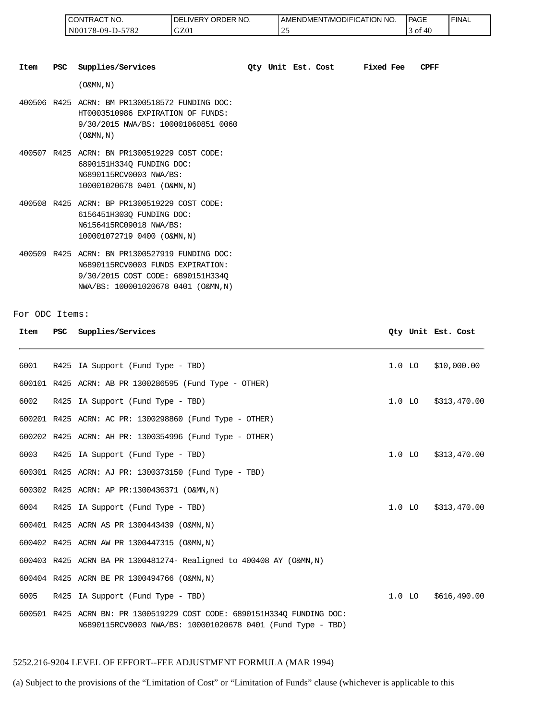| <b>CONTRAC</b><br>°CT NO. | `NO.<br>DELIVERY ORDER | AMENDMENT/MODIFICATION NO. | PAGE       | 'FINAL |
|---------------------------|------------------------|----------------------------|------------|--------|
| N00178-09-D-5782          | GZ01                   |                            | i of<br>40 |        |

| Item | <b>PSC</b> | Supplies/Services                                                                                                                                               |  | Oty Unit Est. Cost | Fixed Fee | <b>CPFF</b> |
|------|------------|-----------------------------------------------------------------------------------------------------------------------------------------------------------------|--|--------------------|-----------|-------------|
|      |            | $(0\&MN, N)$                                                                                                                                                    |  |                    |           |             |
|      |            | 400506 R425 ACRN: BM PR1300518572 FUNDING DOC:<br>HT0003510986 EXPIRATION OF FUNDS:<br>9/30/2015 NWA/BS: 100001060851 0060<br>$($ O&MN, N)                      |  |                    |           |             |
|      |            | 400507 R425 ACRN: BN PR1300519229 COST CODE:<br>6890151H334Q FUNDING DOC:<br>N6890115RCV0003 NWA/BS:<br>100001020678 0401 (O&MN, N)                             |  |                    |           |             |
|      |            | 400508 R425 ACRN: BP PR1300519229 COST CODE:<br>6156451H303Q FUNDING DOC:<br>N6156415RC09018 NWA/BS:<br>100001072719 0400 (O&MN, N)                             |  |                    |           |             |
|      |            | 400509 R425 ACRN: BN PR1300527919 FUNDING DOC:<br>N6890115RCV0003 FUNDS EXPIRATION:<br>9/30/2015 COST CODE: 6890151H334Q<br>NWA/BS: 100001020678 0401 (O&MN, N) |  |                    |           |             |

For ODC Items:

| Item | <b>PSC</b> | Supplies/Services                                                                                                                      |          |          | Oty Unit Est. Cost |
|------|------------|----------------------------------------------------------------------------------------------------------------------------------------|----------|----------|--------------------|
| 6001 |            | R425 IA Support (Fund Type - TBD)                                                                                                      | $1.0$ LO |          | \$10,000.00        |
|      |            | 600101 R425 ACRN: AB PR 1300286595 (Fund Type - OTHER)                                                                                 |          |          |                    |
| 6002 |            | R425 IA Support (Fund Type - TBD)                                                                                                      | $1.0$ LO |          | \$313,470.00       |
|      |            | 600201 R425 ACRN: AC PR: 1300298860 (Fund Type - OTHER)                                                                                |          |          |                    |
|      |            | 600202 R425 ACRN: AH PR: 1300354996 (Fund Type - OTHER)                                                                                |          |          |                    |
| 6003 |            | R425 IA Support (Fund Type - TBD)                                                                                                      | $1.0$ LO |          | \$313,470.00       |
|      |            | 600301 R425 ACRN: AJ PR: 1300373150 (Fund Type - TBD)                                                                                  |          |          |                    |
|      |            | 600302 R425 ACRN: AP PR:1300436371 (O&MN, N)                                                                                           |          |          |                    |
| 6004 |            | R425 IA Support (Fund Type - TBD)                                                                                                      |          | $1.0$ LO | \$313,470.00       |
|      |            | 600401 R425 ACRN AS PR 1300443439 (O&MN, N)                                                                                            |          |          |                    |
|      |            | 600402 R425 ACRN AW PR 1300447315 (O&MN, N)                                                                                            |          |          |                    |
|      |            | 600403 R425 ACRN BA PR 1300481274- Realigned to 400408 AY (O&MN, N)                                                                    |          |          |                    |
|      |            | 600404 R425 ACRN BE PR 1300494766 (O&MN, N)                                                                                            |          |          |                    |
| 6005 |            | R425 IA Support (Fund Type - TBD)                                                                                                      |          | $1.0$ LO | \$616,490.00       |
|      |            | 600501 R425 ACRN BN: PR 1300519229 COST CODE: 6890151H3340 FUNDING DOC:<br>N6890115RCV0003 NWA/BS: 100001020678 0401 (Fund Type - TBD) |          |          |                    |

### 5252.216-9204 LEVEL OF EFFORT--FEE ADJUSTMENT FORMULA (MAR 1994)

(a) Subject to the provisions of the "Limitation of Cost" or "Limitation of Funds" clause (whichever is applicable to this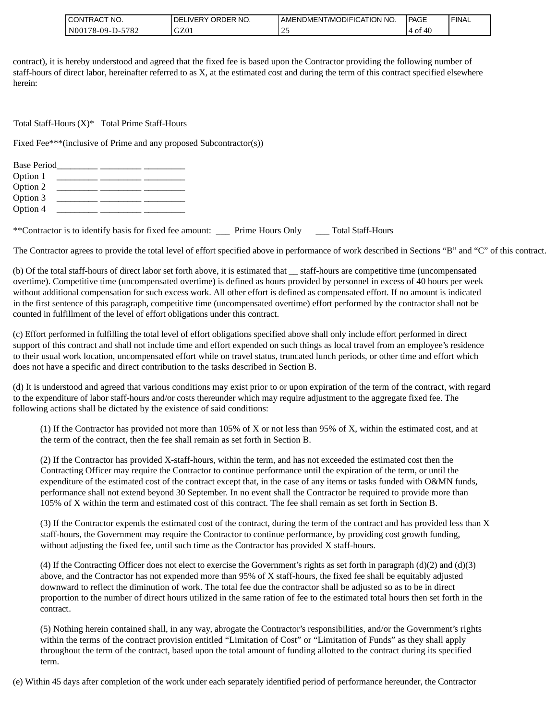| CONTRACT<br>'NO.        | ORDER<br>LIVERY .<br>NO.<br>DE. | AMENDMENT/MODIFICATION NO. | PAGE                       | <b>FINAL</b> |
|-------------------------|---------------------------------|----------------------------|----------------------------|--------------|
| $N00178-09-D-5$<br>5782 | GZ01                            | <u>.</u>                   | $\overline{1}$<br>0Ť<br>40 |              |

contract), it is hereby understood and agreed that the fixed fee is based upon the Contractor providing the following number of staff-hours of direct labor, hereinafter referred to as X, at the estimated cost and during the term of this contract specified elsewhere herein:

Total Staff-Hours (X)\* Total Prime Staff-Hours

Fixed Fee\*\*\*(inclusive of Prime and any proposed Subcontractor(s))

| <b>Base Period</b> |  |  |
|--------------------|--|--|
| Option 1           |  |  |
| Option 2           |  |  |
| Option 3           |  |  |
| Option 4           |  |  |

\*\*Contractor is to identify basis for fixed fee amount: \_\_\_ Prime Hours Only \_\_\_ Total Staff-Hours

The Contractor agrees to provide the total level of effort specified above in performance of work described in Sections "B" and "C" of this contract.

(b) Of the total staff-hours of direct labor set forth above, it is estimated that \_\_ staff-hours are competitive time (uncompensated overtime). Competitive time (uncompensated overtime) is defined as hours provided by personnel in excess of 40 hours per week without additional compensation for such excess work. All other effort is defined as compensated effort. If no amount is indicated in the first sentence of this paragraph, competitive time (uncompensated overtime) effort performed by the contractor shall not be counted in fulfillment of the level of effort obligations under this contract.

(c) Effort performed in fulfilling the total level of effort obligations specified above shall only include effort performed in direct support of this contract and shall not include time and effort expended on such things as local travel from an employee's residence to their usual work location, uncompensated effort while on travel status, truncated lunch periods, or other time and effort which does not have a specific and direct contribution to the tasks described in Section B.

(d) It is understood and agreed that various conditions may exist prior to or upon expiration of the term of the contract, with regard to the expenditure of labor staff-hours and/or costs thereunder which may require adjustment to the aggregate fixed fee. The following actions shall be dictated by the existence of said conditions:

(1) If the Contractor has provided not more than 105% of X or not less than 95% of X, within the estimated cost, and at the term of the contract, then the fee shall remain as set forth in Section B.

(2) If the Contractor has provided X-staff-hours, within the term, and has not exceeded the estimated cost then the Contracting Officer may require the Contractor to continue performance until the expiration of the term, or until the expenditure of the estimated cost of the contract except that, in the case of any items or tasks funded with O&MN funds, performance shall not extend beyond 30 September. In no event shall the Contractor be required to provide more than 105% of X within the term and estimated cost of this contract. The fee shall remain as set forth in Section B.

(3) If the Contractor expends the estimated cost of the contract, during the term of the contract and has provided less than X staff-hours, the Government may require the Contractor to continue performance, by providing cost growth funding, without adjusting the fixed fee, until such time as the Contractor has provided X staff-hours.

(4) If the Contracting Officer does not elect to exercise the Government's rights as set forth in paragraph (d)(2) and (d)(3) above, and the Contractor has not expended more than 95% of X staff-hours, the fixed fee shall be equitably adjusted downward to reflect the diminution of work. The total fee due the contractor shall be adjusted so as to be in direct proportion to the number of direct hours utilized in the same ration of fee to the estimated total hours then set forth in the contract.

(5) Nothing herein contained shall, in any way, abrogate the Contractor's responsibilities, and/or the Government's rights within the terms of the contract provision entitled "Limitation of Cost" or "Limitation of Funds" as they shall apply throughout the term of the contract, based upon the total amount of funding allotted to the contract during its specified term.

(e) Within 45 days after completion of the work under each separately identified period of performance hereunder, the Contractor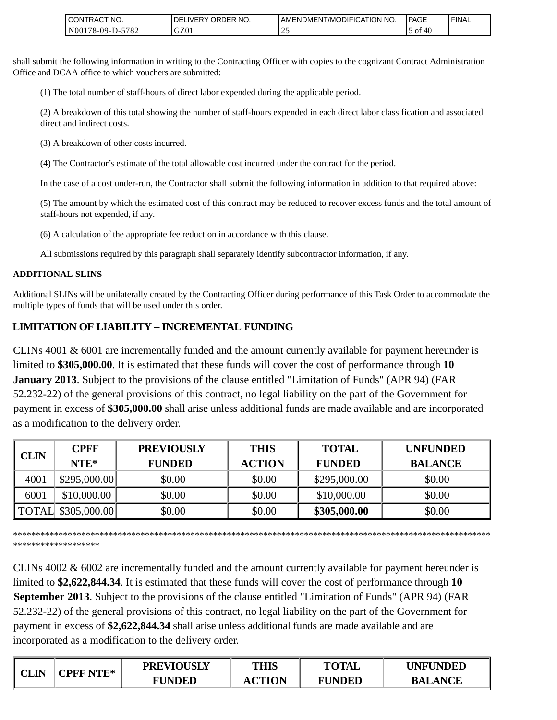| <b>CONTRACT NO.</b>                                        | NO.<br><b>ORDER</b><br>.IVERY<br>DEL | AMENDMENT/MODIFICAT<br>TION NO. | <b>PAGE</b> | <b>FINAL</b> |
|------------------------------------------------------------|--------------------------------------|---------------------------------|-------------|--------------|
| 570 <sup>o</sup><br>N00<br>$8-09-I$<br>$'$ O $\angle$<br>. | GZ01                                 | <u>_</u>                        | 40<br>0Ť    |              |

shall submit the following information in writing to the Contracting Officer with copies to the cognizant Contract Administration Office and DCAA office to which vouchers are submitted:

(1) The total number of staff-hours of direct labor expended during the applicable period.

(2) A breakdown of this total showing the number of staff-hours expended in each direct labor classification and associated direct and indirect costs.

(3) A breakdown of other costs incurred.

(4) The Contractor's estimate of the total allowable cost incurred under the contract for the period.

In the case of a cost under-run, the Contractor shall submit the following information in addition to that required above:

(5) The amount by which the estimated cost of this contract may be reduced to recover excess funds and the total amount of staff-hours not expended, if any.

(6) A calculation of the appropriate fee reduction in accordance with this clause.

All submissions required by this paragraph shall separately identify subcontractor information, if any.

## **ADDITIONAL SLINS**

Additional SLINs will be unilaterally created by the Contracting Officer during performance of this Task Order to accommodate the multiple types of funds that will be used under this order.

# **LIMITATION OF LIABILITY – INCREMENTAL FUNDING**

CLINs 4001 & 6001 are incrementally funded and the amount currently available for payment hereunder is limited to **\$305,000.00**. It is estimated that these funds will cover the cost of performance through **10 January 2013**. Subject to the provisions of the clause entitled "Limitation of Funds" (APR 94) (FAR 52.232-22) of the general provisions of this contract, no legal liability on the part of the Government for payment in excess of **\$305,000.00** shall arise unless additional funds are made available and are incorporated as a modification to the delivery order.

|             | <b>CPFF</b>        | <b>PREVIOUSLY</b> | <b>THIS</b>   | <b>TOTAL</b>  | <b>UNFUNDED</b> |
|-------------|--------------------|-------------------|---------------|---------------|-----------------|
| <b>CLIN</b> | $NTE*$             | <b>FUNDED</b>     | <b>ACTION</b> | <b>FUNDED</b> | <b>BALANCE</b>  |
| 4001        | \$295,000.00]      | \$0.00            | \$0.00        | \$295,000.00  | \$0.00          |
| 6001        | \$10,000.00        | \$0.00            | \$0.00        | \$10,000.00   | \$0.00          |
|             | TOTAL \$305,000.00 | \$0.00            | \$0.00        | \$305,000.00  | \$0.00          |

\*\*\*\*\*\*\*\*\*\*\*\*\*\*\*\*\*\*\*\*\*\*\*\*\*\*\*\*\*\*\*\*\*\*\*\*\*\*\*\*\*\*\*\*\*\*\*\*\*\*\*\*\*\*\*\*\*\*\*\*\*\*\*\*\*\*\*\*\*\*\*\*\*\*\*\*\*\*\*\*\*\*\*\*\*\*\*\*\*\*\*\*\*\*\*\*\*\*\*\*\*\*\*\*\* \*\*\*\*\*\*\*\*\*\*\*\*\*\*\*\*\*\*\*

CLINs 4002 & 6002 are incrementally funded and the amount currently available for payment hereunder is limited to **\$2,622,844.34**. It is estimated that these funds will cover the cost of performance through **10 September 2013**. Subject to the provisions of the clause entitled "Limitation of Funds" (APR 94) (FAR 52.232-22) of the general provisions of this contract, no legal liability on the part of the Government for payment in excess of **\$2,622,844.34** shall arise unless additional funds are made available and are incorporated as a modification to the delivery order.

|      | <b>CPFF NTE*</b>   | <b>PREVIOUSLY</b> | <b>THIS</b>   | <b>TOTAL</b>                   | <b>UNFUNDED</b> |
|------|--------------------|-------------------|---------------|--------------------------------|-----------------|
| CLIN | <b>INDED</b><br>FT | <b>ACTION</b>     | <b>FUNDED</b> | <b>NCE</b><br>BAI<br>\Nt<br>Α. |                 |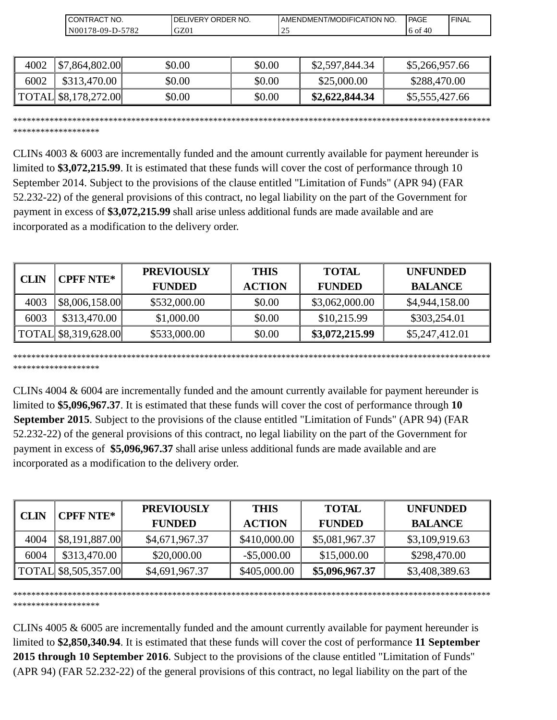| 'NO.<br>CONT'<br>רRAC                                         | `NO.<br><b>ORDER</b><br>DF<br>. iVER⊻ | AMENDMENT/MODIFICATION<br>'NO. | PAGE       | ' FINAL |
|---------------------------------------------------------------|---------------------------------------|--------------------------------|------------|---------|
| 5782<br>$_{\rm N00}$<br>$78-09-I$<br>$\overline{\phantom{a}}$ | $\sim$<br>GZ01                        | <u>_</u>                       | 6 of<br>40 |         |

| 4002 | \$7,864,802.00       | \$0.00 | \$0.00 | \$2,597,844.34 | \$5,266,957.66 |
|------|----------------------|--------|--------|----------------|----------------|
| 6002 | \$313,470.00         | \$0.00 | \$0.00 | \$25,000.00    | \$288,470.00   |
|      | TOTAL \$8,178,272.00 | \$0.00 | \$0.00 | \$2,622,844.34 | \$5,555,427.66 |

\*\*\*\*\*\*\*\*\*\*\*\*\*\*\*\*\*\*\*\*\*\*\*\*\*\*\*\*\*\*\*\*\*\*\*\*\*\*\*\*\*\*\*\*\*\*\*\*\*\*\*\*\*\*\*\*\*\*\*\*\*\*\*\*\*\*\*\*\*\*\*\*\*\*\*\*\*\*\*\*\*\*\*\*\*\*\*\*\*\*\*\*\*\*\*\*\*\*\*\*\*\*\*\*\* \*\*\*\*\*\*\*\*\*\*\*\*\*\*\*\*\*\*\*

CLINs 4003 & 6003 are incrementally funded and the amount currently available for payment hereunder is limited to **\$3,072,215.99**. It is estimated that these funds will cover the cost of performance through 10 September 2014. Subject to the provisions of the clause entitled "Limitation of Funds" (APR 94) (FAR 52.232-22) of the general provisions of this contract, no legal liability on the part of the Government for payment in excess of **\$3,072,215.99** shall arise unless additional funds are made available and are incorporated as a modification to the delivery order.

| CLIN | <b>CPFF NTE*</b>     | <b>PREVIOUSLY</b> | <b>THIS</b>   | <b>TOTAL</b>   | <b>UNFUNDED</b> |
|------|----------------------|-------------------|---------------|----------------|-----------------|
|      |                      | <b>FUNDED</b>     | <b>ACTION</b> | <b>FUNDED</b>  | <b>BALANCE</b>  |
| 4003 | \$8,006,158.00       | \$532,000.00      | \$0.00        | \$3,062,000.00 | \$4,944,158.00  |
| 6003 | \$313,470.00         | \$1,000.00        | \$0.00        | \$10,215.99    | \$303,254.01    |
|      | TOTAL \$8,319,628.00 | \$533,000.00      | \$0.00        | \$3,072,215.99 | \$5,247,412.01  |

\*\*\*\*\*\*\*\*\*\*\*\*\*\*\*\*\*\*\*\*\*\*\*\*\*\*\*\*\*\*\*\*\*\*\*\*\*\*\*\*\*\*\*\*\*\*\*\*\*\*\*\*\*\*\*\*\*\*\*\*\*\*\*\*\*\*\*\*\*\*\*\*\*\*\*\*\*\*\*\*\*\*\*\*\*\*\*\*\*\*\*\*\*\*\*\*\*\*\*\*\*\*\*\*\* \*\*\*\*\*\*\*\*\*\*\*\*\*\*\*\*\*\*\*

CLINs 4004 & 6004 are incrementally funded and the amount currently available for payment hereunder is limited to **\$5,096,967.37**. It is estimated that these funds will cover the cost of performance through **10 September 2015**. Subject to the provisions of the clause entitled "Limitation of Funds" (APR 94) (FAR 52.232-22) of the general provisions of this contract, no legal liability on the part of the Government for payment in excess of **\$5,096,967.37** shall arise unless additional funds are made available and are incorporated as a modification to the delivery order. (Summari at  $\frac{1}{2}$  (Summari at  $\frac{1}{2}$  (Summari at  $\frac{1}{2}$  (Summari at  $\frac{1}{2}$  (Summari at  $\frac{1}{2}$  (Summari at  $\frac{1}{2}$  (Summari at  $\frac{1}{2}$  (Summari at  $\frac{1}{2}$  (Summari at  $\frac{1}{2}$  (Summari at  $\frac{1}{2}$  (

| <b>CLIN</b> | <b>CPFF NTE*</b>     | <b>PREVIOUSLY</b> | <b>THIS</b>    | <b>TOTAL</b>   | <b>UNFUNDED</b> |
|-------------|----------------------|-------------------|----------------|----------------|-----------------|
|             |                      | <b>FUNDED</b>     | <b>ACTION</b>  | <b>FUNDED</b>  | <b>BALANCE</b>  |
| 4004        | \$8,191,887.00       | \$4,671,967.37    | \$410,000.00   | \$5,081,967.37 | \$3,109,919.63  |
| 6004        | \$313,470.00         | \$20,000.00       | $-$ \$5,000.00 | \$15,000.00    | \$298,470.00    |
|             | TOTAL \$8,505,357.00 | \$4,691,967.37    | \$405,000.00   | \$5,096,967.37 | \$3,408,389.63  |

\*\*\*\*\*\*\*\*\*\*\*\*\*\*\*\*\*\*\*\*\*\*\*\*\*\*\*\*\*\*\*\*\*\*\*\*\*\*\*\*\*\*\*\*\*\*\*\*\*\*\*\*\*\*\*\*\*\*\*\*\*\*\*\*\*\*\*\*\*\*\*\*\*\*\*\*\*\*\*\*\*\*\*\*\*\*\*\*\*\*\*\*\*\*\*\*\*\*\*\*\*\*\*\*\* \*\*\*\*\*\*\*\*\*\*\*\*\*\*\*\*\*\*\*

CLINs 4005 & 6005 are incrementally funded and the amount currently available for payment hereunder is limited to **\$2,850,340.94**. It is estimated that these funds will cover the cost of performance **11 September 2015 through 10 September 2016**. Subject to the provisions of the clause entitled "Limitation of Funds"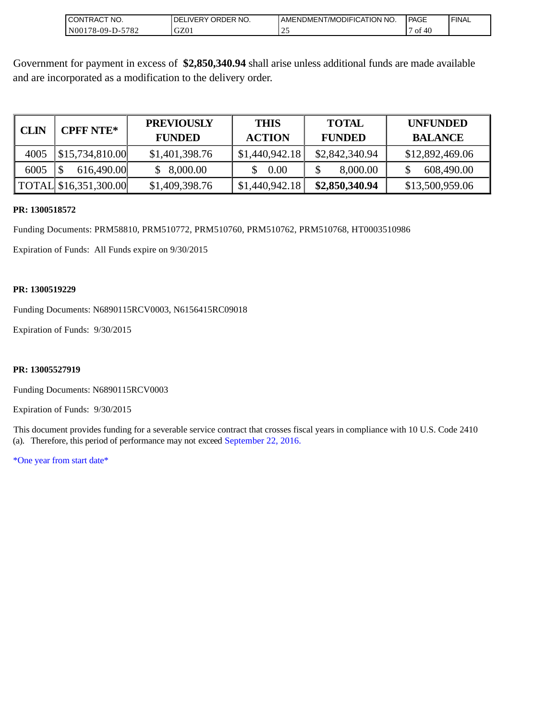| 'NO.<br><b>ICONTRAC.</b>                           | NO.<br>ORDER<br>DE<br>. IVERY | <b>NO</b><br><b>ICATION</b><br><b>ODIFI</b><br>-/MC<br>AMENDMEN | <b>PAGE</b> | <b>FINAL</b> |
|----------------------------------------------------|-------------------------------|-----------------------------------------------------------------|-------------|--------------|
| 570 <sup>o</sup><br>8-09-1<br>  N00<br>٠D-<br>ے ہ' | GZ01                          | <u>.</u>                                                        | ΟÌ<br>-46   |              |

Government for payment in excess of **\$2,850,340.94** shall arise unless additional funds are made available and are incorporated as a modification to the delivery order.

| <b>CLIN</b> | <b>CPFF NTE*</b>      | <b>PREVIOUSLY</b><br><b>FUNDED</b> | <b>THIS</b><br><b>ACTION</b> | <b>TOTAL</b><br><b>FUNDED</b> | <b>UNFUNDED</b><br><b>BALANCE</b> |
|-------------|-----------------------|------------------------------------|------------------------------|-------------------------------|-----------------------------------|
| 4005        | \$15,734,810.00       | \$1,401,398.76                     | \$1,440,942.18               | \$2,842,340.94                | \$12,892,469.06                   |
| 6005        | 616,490.00            | 8,000.00                           | 0.00                         | 8,000.00                      | 608,490.00                        |
|             | TOTAL \$16,351,300.00 | \$1,409,398.76                     | \$1,440,942.18               | \$2,850,340.94                | \$13,500,959.06                   |

#### **PR: 1300518572**

Funding Documents: PRM58810, PRM510772, PRM510760, PRM510762, PRM510768, HT0003510986

Expiration of Funds: All Funds expire on 9/30/2015

#### **PR: 1300519229**

Funding Documents: N6890115RCV0003, N6156415RC09018

Expiration of Funds: 9/30/2015

### **PR: 13005527919**

Funding Documents: N6890115RCV0003

Expiration of Funds: 9/30/2015

This document provides funding for a severable service contract that crosses fiscal years in compliance with 10 U.S. Code 2410 (a). Therefore, this period of performance may not exceed September 22, 2016.

\*One year from start date\*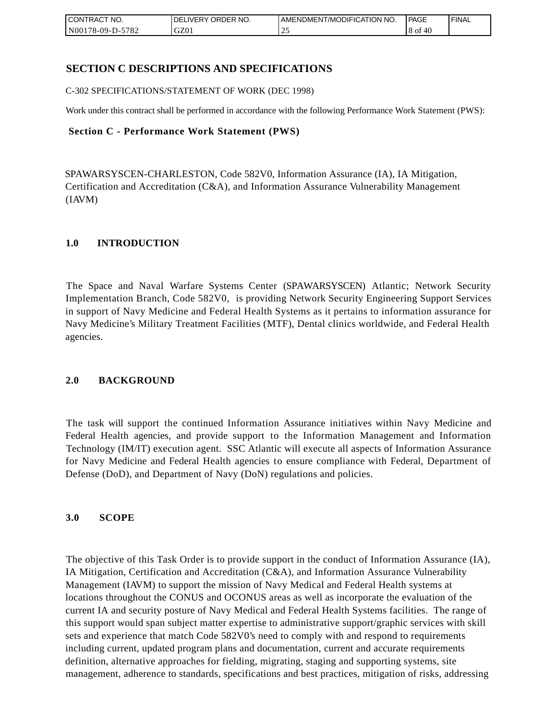| CONTRACT<br>`CT NO.      | ORDER <sup>'</sup><br>NO.<br><b>DELIVERY</b> | I AMENDMENT/MODIFICATION NO. | PAGE        | <b>I FINAL</b> |
|--------------------------|----------------------------------------------|------------------------------|-------------|----------------|
| N00178-09-D-5<br>$-5782$ | GZ01                                         | ت ک                          | 8 of<br>-46 |                |

## **SECTION C DESCRIPTIONS AND SPECIFICATIONS**

C-302 SPECIFICATIONS/STATEMENT OF WORK (DEC 1998)

Work under this contract shall be performed in accordance with the following Performance Work Statement (PWS):

### **Section C - Performance Work Statement (PWS)**

SPAWARSYSCEN-CHARLESTON, Code 582V0, Information Assurance (IA), IA Mitigation, Certification and Accreditation (C&A), and Information Assurance Vulnerability Management (IAVM)

## **1.0 INTRODUCTION**

The Space and Naval Warfare Systems Center (SPAWARSYSCEN) Atlantic; Network Security Implementation Branch, Code 582V0, is providing Network Security Engineering Support Services in support of Navy Medicine and Federal Health Systems as it pertains to information assurance for Navy Medicine's Military Treatment Facilities (MTF), Dental clinics worldwide, and Federal Health agencies.

## **2.0 BACKGROUND**

The task will support the continued Information Assurance initiatives within Navy Medicine and Federal Health agencies, and provide support to the Information Management and Information Technology (IM/IT) execution agent. SSC Atlantic will execute all aspects of Information Assurance for Navy Medicine and Federal Health agencies to ensure compliance with Federal, Department of Defense (DoD), and Department of Navy (DoN) regulations and policies.

## **3.0 SCOPE**

The objective of this Task Order is to provide support in the conduct of Information Assurance (IA), IA Mitigation, Certification and Accreditation (C&A), and Information Assurance Vulnerability Management (IAVM) to support the mission of Navy Medical and Federal Health systems at locations throughout the CONUS and OCONUS areas as well as incorporate the evaluation of the current IA and security posture of Navy Medical and Federal Health Systems facilities. The range of this support would span subject matter expertise to administrative support/graphic services with skill sets and experience that match Code 582V0's need to comply with and respond to requirements including current, updated program plans and documentation, current and accurate requirements definition, alternative approaches for fielding, migrating, staging and supporting systems, site management, adherence to standards, specifications and best practices, mitigation of risks, addressing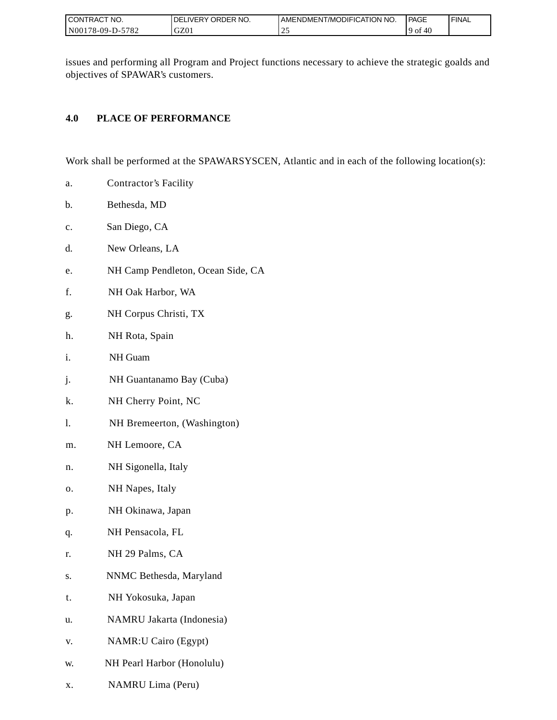| I CONTRACT NO.        | ORDER NO.<br><b>IVERY</b><br>DEI | I AMENDMENT/MODIFICATION NO. | PAGE       | <b>FINAL</b> |
|-----------------------|----------------------------------|------------------------------|------------|--------------|
| N001<br>178-09-D-5782 | GZ01                             | سد                           | f 40<br>0t |              |

issues and performing all Program and Project functions necessary to achieve the strategic goalds and objectives of SPAWAR's customers.

## **4.0 PLACE OF PERFORMANCE**

Work shall be performed at the SPAWARSYSCEN, Atlantic and in each of the following location(s):

- a. Contractor's Facility
- b. Bethesda, MD
- c. San Diego, CA
- d. New Orleans, LA
- e. NH Camp Pendleton, Ocean Side, CA
- f. NH Oak Harbor, WA
- g. NH Corpus Christi, TX
- h. NH Rota, Spain
- i. NH Guam
- j. NH Guantanamo Bay (Cuba)
- k. NH Cherry Point, NC
- l. NH Bremeerton, (Washington)
- m. NH Lemoore, CA
- n. NH Sigonella, Italy
- o. NH Napes, Italy
- p. NH Okinawa, Japan
- q. NH Pensacola, FL
- r. NH 29 Palms, CA
- s. NNMC Bethesda, Maryland
- t. NH Yokosuka, Japan
- u. NAMRU Jakarta (Indonesia)
- v. NAMR:U Cairo (Egypt)
- w. NH Pearl Harbor (Honolulu)
- x. NAMRU Lima (Peru)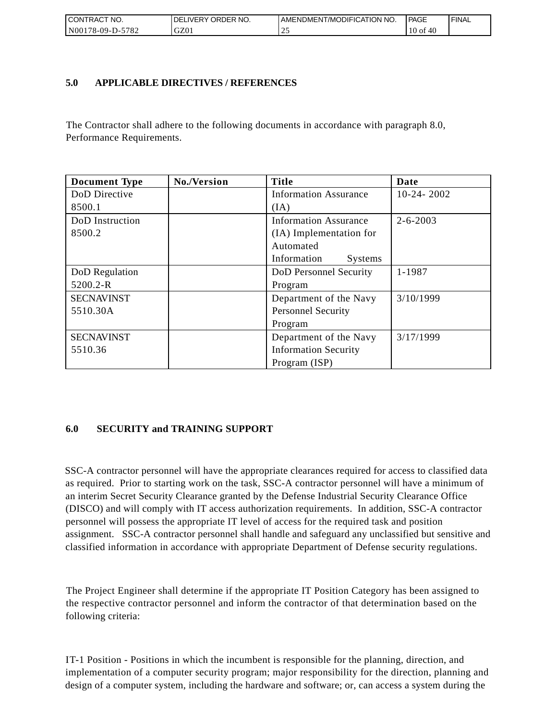| I CONTRACT NO.   | <b>IDELIVERY ORDER NO.</b> | AMENDMENT/MODIFICATION NO. | PAGE                   | ' FINAL |
|------------------|----------------------------|----------------------------|------------------------|---------|
| N00178-09-D-5782 | GZ01                       |                            | 40<br>10 <sub>of</sub> |         |

## **5.0 APPLICABLE DIRECTIVES / REFERENCES**

The Contractor shall adhere to the following documents in accordance with paragraph 8.0, Performance Requirements.

| <b>Document Type</b> | No./Version | <b>Title</b>                  | Date           |
|----------------------|-------------|-------------------------------|----------------|
| DoD Directive        |             | <b>Information Assurance</b>  | $10-24-2002$   |
| 8500.1               |             | (IA)                          |                |
| DoD Instruction      |             | <b>Information Assurance</b>  | $2 - 6 - 2003$ |
| 8500.2               |             | (IA) Implementation for       |                |
|                      |             | Automated                     |                |
|                      |             | Information<br><b>Systems</b> |                |
| DoD Regulation       |             | DoD Personnel Security        | 1-1987         |
| 5200.2-R             |             | Program                       |                |
| <b>SECNAVINST</b>    |             | Department of the Navy        | 3/10/1999      |
| 5510.30A             |             | <b>Personnel Security</b>     |                |
|                      |             | Program                       |                |
| <b>SECNAVINST</b>    |             | Department of the Navy        | 3/17/1999      |
| 5510.36              |             | <b>Information Security</b>   |                |
|                      |             | Program (ISP)                 |                |

## **6.0 SECURITY and TRAINING SUPPORT**

SSC-A contractor personnel will have the appropriate clearances required for access to classified data as required. Prior to starting work on the task, SSC-A contractor personnel will have a minimum of an interim Secret Security Clearance granted by the Defense Industrial Security Clearance Office (DISCO) and will comply with IT access authorization requirements. In addition, SSC-A contractor personnel will possess the appropriate IT level of access for the required task and position assignment. SSC-A contractor personnel shall handle and safeguard any unclassified but sensitive and classified information in accordance with appropriate Department of Defense security regulations.

The Project Engineer shall determine if the appropriate IT Position Category has been assigned to the respective contractor personnel and inform the contractor of that determination based on the following criteria:

IT-1 Position - Positions in which the incumbent is responsible for the planning, direction, and implementation of a computer security program; major responsibility for the direction, planning and design of a computer system, including the hardware and software; or, can access a system during the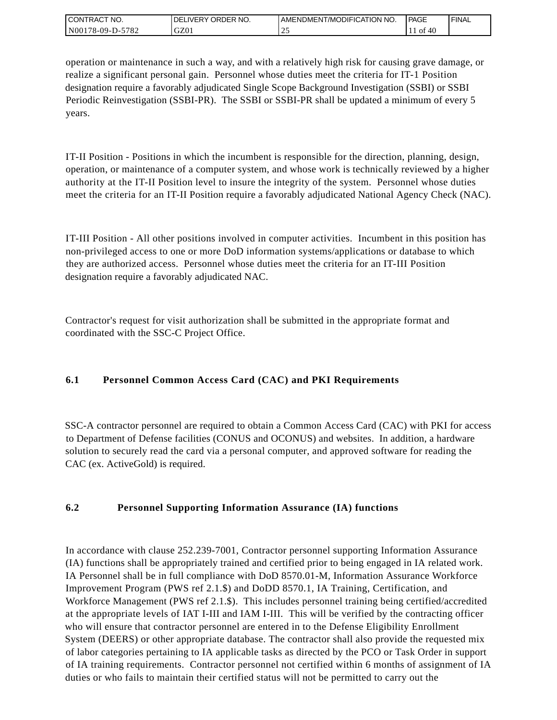| CONTRACT<br>CT NO.                       | NO.<br>' ORDER<br><b>DELIVERY</b> | AMENDMENT/MODIFICATION NO. | l PAGE       | <b>FINAL</b> |
|------------------------------------------|-----------------------------------|----------------------------|--------------|--------------|
| $-5782$<br>N <sub>001</sub><br>78-09-D-J | GZ01                              | <u>_</u>                   | . I of<br>40 |              |

operation or maintenance in such a way, and with a relatively high risk for causing grave damage, or realize a significant personal gain. Personnel whose duties meet the criteria for IT-1 Position designation require a favorably adjudicated Single Scope Background Investigation (SSBI) or SSBI Periodic Reinvestigation (SSBI-PR). The SSBI or SSBI-PR shall be updated a minimum of every 5 years.

IT-II Position - Positions in which the incumbent is responsible for the direction, planning, design, operation, or maintenance of a computer system, and whose work is technically reviewed by a higher authority at the IT-II Position level to insure the integrity of the system. Personnel whose duties meet the criteria for an IT-II Position require a favorably adjudicated National Agency Check (NAC).

IT-III Position - All other positions involved in computer activities. Incumbent in this position has non-privileged access to one or more DoD information systems/applications or database to which they are authorized access. Personnel whose duties meet the criteria for an IT-III Position designation require a favorably adjudicated NAC.

Contractor's request for visit authorization shall be submitted in the appropriate format and coordinated with the SSC-C Project Office.

# **6.1 Personnel Common Access Card (CAC) and PKI Requirements**

SSC-A contractor personnel are required to obtain a Common Access Card (CAC) with PKI for access to Department of Defense facilities (CONUS and OCONUS) and websites. In addition, a hardware solution to securely read the card via a personal computer, and approved software for reading the CAC (ex. ActiveGold) is required.

## **6.2 Personnel Supporting Information Assurance (IA) functions**

In accordance with clause 252.239-7001, Contractor personnel supporting Information Assurance (IA) functions shall be appropriately trained and certified prior to being engaged in IA related work. IA Personnel shall be in full compliance with DoD 8570.01-M, Information Assurance Workforce Improvement Program (PWS ref 2.1.\$) and DoDD 8570.1, IA Training, Certification, and Workforce Management (PWS ref 2.1.\$). This includes personnel training being certified/accredited at the appropriate levels of IAT I-III and IAM I-III. This will be verified by the contracting officer who will ensure that contractor personnel are entered in to the Defense Eligibility Enrollment System (DEERS) or other appropriate database. The contractor shall also provide the requested mix of labor categories pertaining to IA applicable tasks as directed by the PCO or Task Order in support of IA training requirements. Contractor personnel not certified within 6 months of assignment of IA duties or who fails to maintain their certified status will not be permitted to carry out the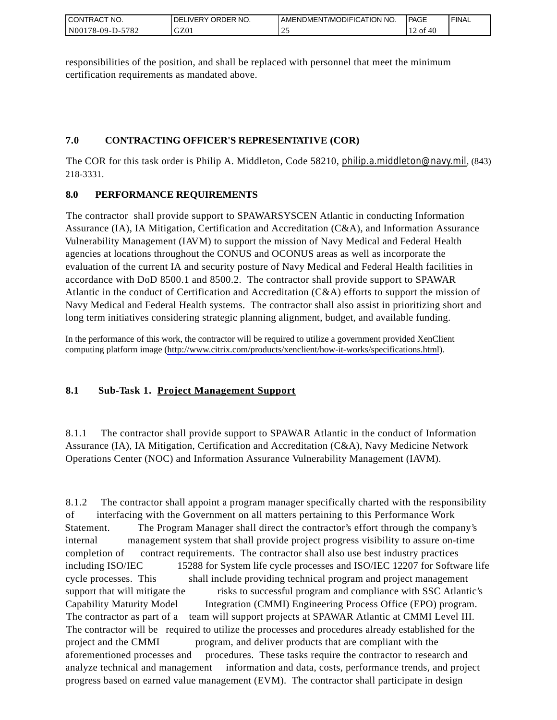| CONTRACT<br>°CT NO.      | NO.<br>' ORDER<br><b>DELIVERY</b> | AMENDMENT/MODIFICATION NO. | <b>PAGE</b> | ' FINAL |
|--------------------------|-----------------------------------|----------------------------|-------------|---------|
| $-5782$<br>N00178-09-D-5 | GZ01                              | <u>_</u>                   | 12 of<br>40 |         |

responsibilities of the position, and shall be replaced with personnel that meet the minimum certification requirements as mandated above.

# **7.0 CONTRACTING OFFICER'S REPRESENTATIVE (COR)**

The COR for this task order is Philip A. Middleton, Code 58210, [philip.a.middleton@navy.mil](mailto:cphilip.a.middleton@navy.mil), (843) 218-3331.

# **8.0 PERFORMANCE REQUIREMENTS**

The contractor shall provide support to SPAWARSYSCEN Atlantic in conducting Information Assurance (IA), IA Mitigation, Certification and Accreditation (C&A), and Information Assurance Vulnerability Management (IAVM) to support the mission of Navy Medical and Federal Health agencies at locations throughout the CONUS and OCONUS areas as well as incorporate the evaluation of the current IA and security posture of Navy Medical and Federal Health facilities in accordance with DoD 8500.1 and 8500.2. The contractor shall provide support to SPAWAR Atlantic in the conduct of Certification and Accreditation (C&A) efforts to support the mission of Navy Medical and Federal Health systems. The contractor shall also assist in prioritizing short and long term initiatives considering strategic planning alignment, budget, and available funding.

In the performance of this work, the contractor will be required to utilize a government provided XenClient computing platform image [\(http://www.citrix.com/products/xenclient/how-it-works/specifications.html\)](http://www.citrix.com/products/xenclient/how-it-works/specifications.html).

# **8.1 Sub-Task 1. Project Management Support**

8.1.1 The contractor shall provide support to SPAWAR Atlantic in the conduct of Information Assurance (IA), IA Mitigation, Certification and Accreditation (C&A), Navy Medicine Network Operations Center (NOC) and Information Assurance Vulnerability Management (IAVM).

8.1.2 The contractor shall appoint a program manager specifically charted with the responsibility of interfacing with the Government on all matters pertaining to this Performance Work Statement. The Program Manager shall direct the contractor's effort through the company's internal management system that shall provide project progress visibility to assure on-time completion of contract requirements. The contractor shall also use best industry practices including ISO/IEC 15288 for System life cycle processes and ISO/IEC 12207 for Software life cycle processes. This shall include providing technical program and project management support that will mitigate the risks to successful program and compliance with SSC Atlantic's Capability Maturity Model Integration (CMMI) Engineering Process Office (EPO) program. The contractor as part of a team will support projects at SPAWAR Atlantic at CMMI Level III. The contractor will be required to utilize the processes and procedures already established for the project and the CMMI program, and deliver products that are compliant with the aforementioned processes and procedures. These tasks require the contractor to research and analyze technical and management information and data, costs, performance trends, and project progress based on earned value management (EVM). The contractor shall participate in design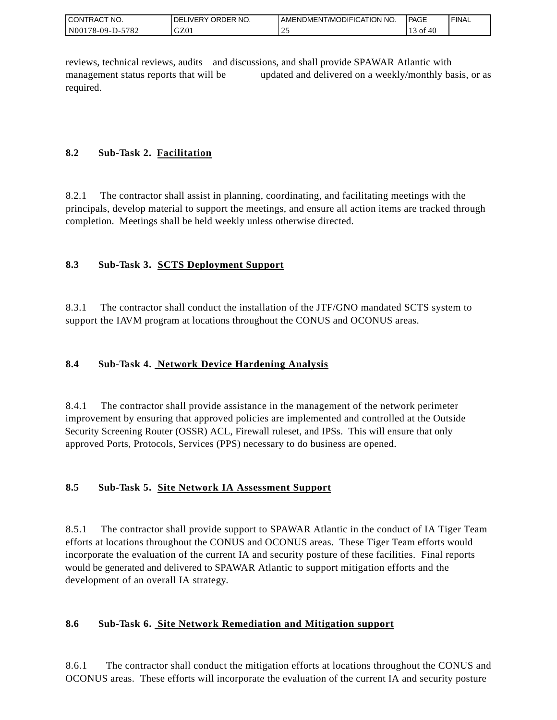| <b>I CONTRACT NO.</b> | ' ORDER NO.<br><b>DELIVERY</b> | I AMENDMENT/MODIFICATION NO. | PAGE | <b>FINAL</b> |
|-----------------------|--------------------------------|------------------------------|------|--------------|
| N00178-09-D-5782      | GZ0.                           | <u>_</u>                     | - OI |              |

reviews, technical reviews, audits and discussions, and shall provide SPAWAR Atlantic with management status reports that will be updated and delivered on a weekly/monthly basis, or as required.

# **8.2 Sub-Task 2. Facilitation**

8.2.1 The contractor shall assist in planning, coordinating, and facilitating meetings with the principals, develop material to support the meetings, and ensure all action items are tracked through completion. Meetings shall be held weekly unless otherwise directed.

# **8.3 Sub-Task 3. SCTS Deployment Support**

8.3.1 The contractor shall conduct the installation of the JTF/GNO mandated SCTS system to support the IAVM program at locations throughout the CONUS and OCONUS areas.

# **8.4 Sub-Task 4. Network Device Hardening Analysis**

8.4.1 The contractor shall provide assistance in the management of the network perimeter improvement by ensuring that approved policies are implemented and controlled at the Outside Security Screening Router (OSSR) ACL, Firewall ruleset, and IPSs. This will ensure that only approved Ports, Protocols, Services (PPS) necessary to do business are opened.

## **8.5 Sub-Task 5. Site Network IA Assessment Support**

8.5.1 The contractor shall provide support to SPAWAR Atlantic in the conduct of IA Tiger Team efforts at locations throughout the CONUS and OCONUS areas. These Tiger Team efforts would incorporate the evaluation of the current IA and security posture of these facilities. Final reports would be generated and delivered to SPAWAR Atlantic to support mitigation efforts and the development of an overall IA strategy.

## **8.6 Sub-Task 6. Site Network Remediation and Mitigation support**

8.6.1 The contractor shall conduct the mitigation efforts at locations throughout the CONUS and OCONUS areas. These efforts will incorporate the evaluation of the current IA and security posture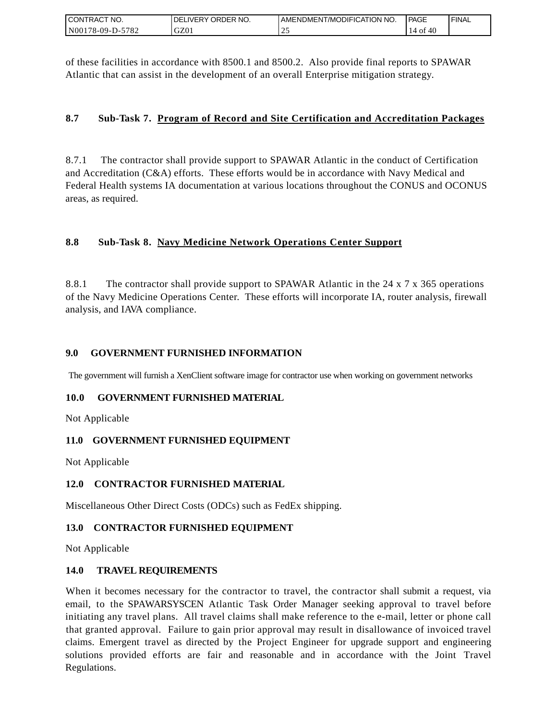| I CONTRACT NO.   | DELIVERY ORDER NO. | AMENDMENT/MODIFICATION NO. | <b>IPAGE</b> | ' FINAL |
|------------------|--------------------|----------------------------|--------------|---------|
| N00178-09-D-5782 | GZ01               |                            | 40<br>14 of  |         |

of these facilities in accordance with 8500.1 and 8500.2. Also provide final reports to SPAWAR Atlantic that can assist in the development of an overall Enterprise mitigation strategy.

## **8.7 Sub-Task 7. Program of Record and Site Certification and Accreditation Packages**

8.7.1 The contractor shall provide support to SPAWAR Atlantic in the conduct of Certification and Accreditation (C&A) efforts. These efforts would be in accordance with Navy Medical and Federal Health systems IA documentation at various locations throughout the CONUS and OCONUS areas, as required.

## **8.8 Sub-Task 8. Navy Medicine Network Operations Center Support**

8.8.1 The contractor shall provide support to SPAWAR Atlantic in the 24 x 7 x 365 operations of the Navy Medicine Operations Center. These efforts will incorporate IA, router analysis, firewall analysis, and IAVA compliance.

## **9.0 GOVERNMENT FURNISHED INFORMATION**

The government will furnish a XenClient software image for contractor use when working on government networks

## **10.0 GOVERNMENT FURNISHED MATERIAL**

Not Applicable

## **11.0 GOVERNMENT FURNISHED EQUIPMENT**

Not Applicable

## **12.0 CONTRACTOR FURNISHED MATERIAL**

Miscellaneous Other Direct Costs (ODCs) such as FedEx shipping.

## **13.0 CONTRACTOR FURNISHED EQUIPMENT**

Not Applicable

## **14.0 TRAVEL REQUIREMENTS**

CONTRACT NO.<br>
NO0178-09-D-5<br>
CONTRACT NO.<br>
NO0178-09-D-5<br>
Of these facili<br>
Atlantic that of<br>
8.7 Sub-1<br>
8.7 Sub-1<br>
8.7 Sub-1<br>
8.8 Sub-1<br>
8.8 Sub-1<br>
8.8 Sub-1<br>
8.8.1 The of the Navy M<br>
8.8.1 The of the Navy M<br>
analysis, and When it becomes necessary for the contractor to travel, the contractor shall submit a request, via email, to the SPAWARSYSCEN Atlantic Task Order Manager seeking approval to travel before initiating any travel plans. All travel claims shall make reference to the e-mail, letter or phone call that granted approval. Failure to gain prior approval may result in disallowance of invoiced travel claims. Emergent travel as directed by the Project Engineer for upgrade support and engineering solutions provided efforts are fair and reasonable and in accordance with the Joint Travel Regulations.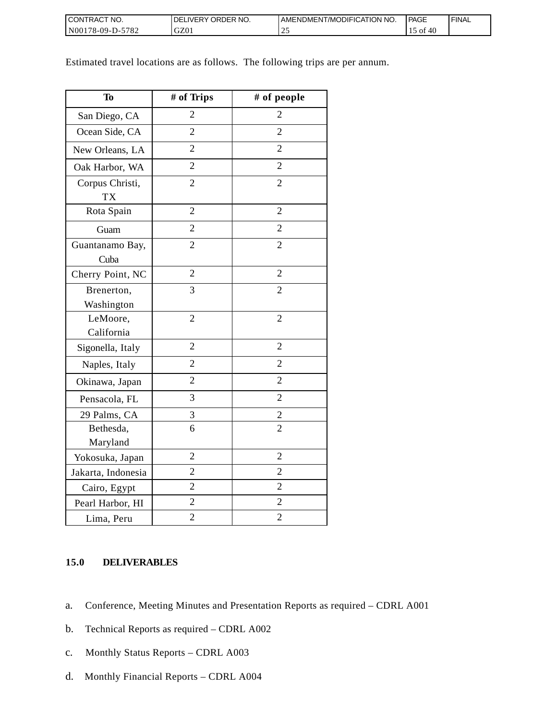| <b>I CONTRACT NO.</b>   | DELIVERY ORDER NO. | AMENDMENT/MODIFICATION NO. | <b>PAGE</b>       | ' FINAL |
|-------------------------|--------------------|----------------------------|-------------------|---------|
| N00178-09-D-57<br>-5782 | GZ01               | <u>_</u>                   | -40<br>- OI<br>⊥J |         |

Estimated travel locations are as follows. The following trips are per annum.

| <b>To</b>                    | # of Trips     | # of people    |
|------------------------------|----------------|----------------|
| San Diego, CA                | $\overline{2}$ | 2              |
| Ocean Side, CA               | $\overline{2}$ | $\overline{2}$ |
| New Orleans, LA              | $\overline{2}$ | $\overline{2}$ |
| Oak Harbor, WA               | $\overline{2}$ | $\overline{2}$ |
| Corpus Christi,<br><b>TX</b> | $\overline{2}$ | $\overline{2}$ |
| Rota Spain                   | $\overline{2}$ | $\overline{2}$ |
| Guam                         | $\overline{2}$ | $\overline{2}$ |
| Guantanamo Bay,<br>Cuba      | $\overline{2}$ | $\overline{2}$ |
| Cherry Point, NC             | $\overline{2}$ | $\overline{2}$ |
| Brenerton,<br>Washington     | 3              | $\overline{2}$ |
| LeMoore,<br>California       | $\overline{2}$ | $\overline{c}$ |
| Sigonella, Italy             | $\overline{2}$ | $\overline{2}$ |
| Naples, Italy                | $\overline{2}$ | $\overline{2}$ |
| Okinawa, Japan               | $\overline{2}$ | $\overline{2}$ |
| Pensacola, FL                | 3              | $\overline{2}$ |
| 29 Palms, CA                 | 3              | $\overline{c}$ |
| Bethesda,<br>Maryland        | 6              | $\overline{2}$ |
| Yokosuka, Japan              | $\overline{2}$ | $\overline{2}$ |
| Jakarta, Indonesia           | $\overline{2}$ | $\overline{c}$ |
| Cairo, Egypt                 | $\overline{2}$ | $\overline{2}$ |
| Pearl Harbor, HI             | $\overline{2}$ | $\overline{2}$ |
| Lima, Peru                   | $\overline{c}$ | $\overline{c}$ |

## **15.0 DELIVERABLES**

- a. Conference, Meeting Minutes and Presentation Reports as required CDRL A001
- b. Technical Reports as required CDRL A002
- c. Monthly Status Reports CDRL A003
- d. Monthly Financial Reports CDRL A004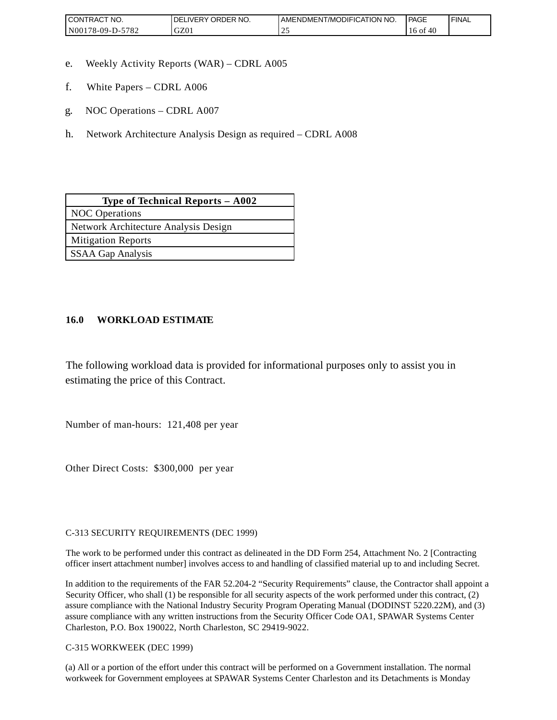| <b>CONTRACT NO.</b>                                | ' ORDER NO.<br>DELIVERY | AMENDMENT/MODIFICATION NO. | <b>PAGE</b>  | <b>FINAL</b> |
|----------------------------------------------------|-------------------------|----------------------------|--------------|--------------|
| 5782<br>N <sub>00</sub><br>78-09-D<br>$\mathbf{L}$ | GZ01                    | <u>_</u>                   | 10 OI<br>40. |              |

- e. Weekly Activity Reports (WAR) CDRL A005
- f. White Papers CDRL A006
- g. NOC Operations CDRL A007
- h. Network Architecture Analysis Design as required CDRL A008

| Type of Technical Reports $-$ A002   |  |  |
|--------------------------------------|--|--|
| <b>NOC</b> Operations                |  |  |
| Network Architecture Analysis Design |  |  |
| <b>Mitigation Reports</b>            |  |  |
| SSAA Gap Analysis                    |  |  |

## **16.0 WORKLOAD ESTIMATE**

The following workload data is provided for informational purposes only to assist you in estimating the price of this Contract.

Number of man-hours: 121,408 per year

Other Direct Costs: \$300,000 per year

C-313 SECURITY REQUIREMENTS (DEC 1999)

The work to be performed under this contract as delineated in the DD Form 254, Attachment No. 2 [Contracting officer insert attachment number] involves access to and handling of classified material up to and including Secret.

In addition to the requirements of the FAR 52.204-2 "Security Requirements" clause, the Contractor shall appoint a Security Officer, who shall (1) be responsible for all security aspects of the work performed under this contract, (2) assure compliance with the National Industry Security Program Operating Manual (DODINST 5220.22M), and (3) assure compliance with any written instructions from the Security Officer Code OA1, SPAWAR Systems Center Charleston, P.O. Box 190022, North Charleston, SC 29419-9022.

C-315 WORKWEEK (DEC 1999)

(a) All or a portion of the effort under this contract will be performed on a Government installation. The normal workweek for Government employees at SPAWAR Systems Center Charleston and its Detachments is Monday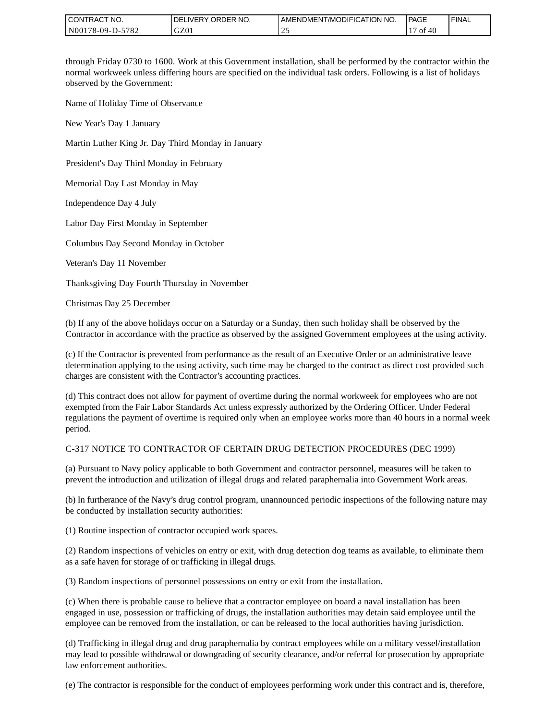| <b>I CONTRACT NO.</b> | ' ORDER NO.<br><b>DELIVERY</b> | I AMENDMENT/MODIFICATION NO. | PAGE      | <b>FINAL</b> |
|-----------------------|--------------------------------|------------------------------|-----------|--------------|
| N00178-09-D-5782      | GZ0                            | <u>_</u>                     | ОI<br>-40 |              |

through Friday 0730 to 1600. Work at this Government installation, shall be performed by the contractor within the normal workweek unless differing hours are specified on the individual task orders. Following is a list of holidays observed by the Government:

Name of Holiday Time of Observance

New Year's Day 1 January

Martin Luther King Jr. Day Third Monday in January

President's Day Third Monday in February

Memorial Day Last Monday in May

Independence Day 4 July

Labor Day First Monday in September

Columbus Day Second Monday in October

Veteran's Day 11 November

Thanksgiving Day Fourth Thursday in November

Christmas Day 25 December

(b) If any of the above holidays occur on a Saturday or a Sunday, then such holiday shall be observed by the Contractor in accordance with the practice as observed by the assigned Government employees at the using activity.

(c) If the Contractor is prevented from performance as the result of an Executive Order or an administrative leave determination applying to the using activity, such time may be charged to the contract as direct cost provided such charges are consistent with the Contractor's accounting practices.

(d) This contract does not allow for payment of overtime during the normal workweek for employees who are not exempted from the Fair Labor Standards Act unless expressly authorized by the Ordering Officer. Under Federal regulations the payment of overtime is required only when an employee works more than 40 hours in a normal week period.

#### C-317 NOTICE TO CONTRACTOR OF CERTAIN DRUG DETECTION PROCEDURES (DEC 1999)

(a) Pursuant to Navy policy applicable to both Government and contractor personnel, measures will be taken to prevent the introduction and utilization of illegal drugs and related paraphernalia into Government Work areas.

(b) In furtherance of the Navy's drug control program, unannounced periodic inspections of the following nature may be conducted by installation security authorities:

(1) Routine inspection of contractor occupied work spaces.

(2) Random inspections of vehicles on entry or exit, with drug detection dog teams as available, to eliminate them as a safe haven for storage of or trafficking in illegal drugs.

(3) Random inspections of personnel possessions on entry or exit from the installation.

(c) When there is probable cause to believe that a contractor employee on board a naval installation has been engaged in use, possession or trafficking of drugs, the installation authorities may detain said employee until the employee can be removed from the installation, or can be released to the local authorities having jurisdiction.

(d) Trafficking in illegal drug and drug paraphernalia by contract employees while on a military vessel/installation may lead to possible withdrawal or downgrading of security clearance, and/or referral for prosecution by appropriate law enforcement authorities.

(e) The contractor is responsible for the conduct of employees performing work under this contract and is, therefore,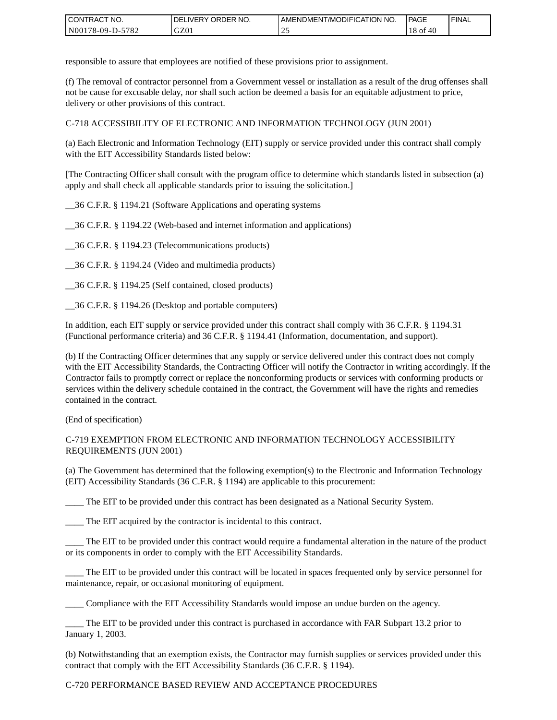| <b>CONTRACT</b><br>`CT NO. | `NO.<br><b>DELIVERY ORDER</b> | AMENDMENT/MODIFICATION NO. | <b>PAGE</b>  | ' FINAL |
|----------------------------|-------------------------------|----------------------------|--------------|---------|
| N00178-09-D-5782           | GZ01                          | <u>_</u>                   | 18 of<br>-40 |         |

responsible to assure that employees are notified of these provisions prior to assignment.

(f) The removal of contractor personnel from a Government vessel or installation as a result of the drug offenses shall not be cause for excusable delay, nor shall such action be deemed a basis for an equitable adjustment to price, delivery or other provisions of this contract.

C-718 ACCESSIBILITY OF ELECTRONIC AND INFORMATION TECHNOLOGY (JUN 2001)

(a) Each Electronic and Information Technology (EIT) supply or service provided under this contract shall comply with the EIT Accessibility Standards listed below:

[The Contracting Officer shall consult with the program office to determine which standards listed in subsection (a) apply and shall check all applicable standards prior to issuing the solicitation.]

\_\_36 C.F.R. § 1194.21 (Software Applications and operating systems

\_\_36 C.F.R. § 1194.22 (Web-based and internet information and applications)

\_\_36 C.F.R. § 1194.23 (Telecommunications products)

\_\_36 C.F.R. § 1194.24 (Video and multimedia products)

\_\_36 C.F.R. § 1194.25 (Self contained, closed products)

\_\_36 C.F.R. § 1194.26 (Desktop and portable computers)

In addition, each EIT supply or service provided under this contract shall comply with 36 C.F.R. § 1194.31 (Functional performance criteria) and 36 C.F.R. § 1194.41 (Information, documentation, and support).

(b) If the Contracting Officer determines that any supply or service delivered under this contract does not comply with the EIT Accessibility Standards, the Contracting Officer will notify the Contractor in writing accordingly. If the Contractor fails to promptly correct or replace the nonconforming products or services with conforming products or services within the delivery schedule contained in the contract, the Government will have the rights and remedies contained in the contract.

(End of specification)

#### C-719 EXEMPTION FROM ELECTRONIC AND INFORMATION TECHNOLOGY ACCESSIBILITY REQUIREMENTS (JUN 2001)

(a) The Government has determined that the following exemption(s) to the Electronic and Information Technology (EIT) Accessibility Standards (36 C.F.R. § 1194) are applicable to this procurement:

The EIT to be provided under this contract has been designated as a National Security System.

\_\_\_\_ The EIT acquired by the contractor is incidental to this contract.

\_\_\_\_ The EIT to be provided under this contract would require a fundamental alteration in the nature of the product or its components in order to comply with the EIT Accessibility Standards.

The EIT to be provided under this contract will be located in spaces frequented only by service personnel for maintenance, repair, or occasional monitoring of equipment.

\_\_\_\_ Compliance with the EIT Accessibility Standards would impose an undue burden on the agency.

\_\_\_\_ The EIT to be provided under this contract is purchased in accordance with FAR Subpart 13.2 prior to January 1, 2003.

(b) Notwithstanding that an exemption exists, the Contractor may furnish supplies or services provided under this contract that comply with the EIT Accessibility Standards (36 C.F.R. § 1194).

#### C-720 PERFORMANCE BASED REVIEW AND ACCEPTANCE PROCEDURES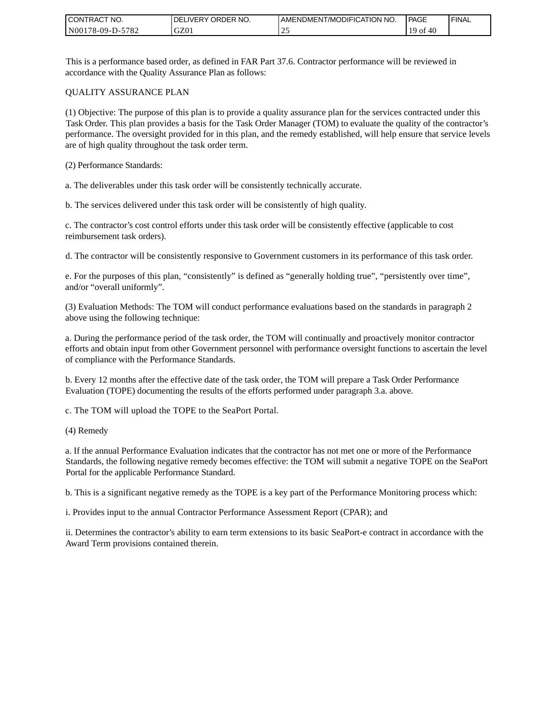| <b>CONTRACT</b><br>`CT NO. | `NO.<br><b>DELIVERY ORDER</b> | AMENDMENT/MODIFICATION NO. | <b>PAGE</b> | ' FINAL |
|----------------------------|-------------------------------|----------------------------|-------------|---------|
| N00178-09-D-5782           | GZ01                          | <u>_</u>                   | 40<br>' of  |         |

This is a performance based order, as defined in FAR Part 37.6. Contractor performance will be reviewed in accordance with the Quality Assurance Plan as follows:

#### QUALITY ASSURANCE PLAN

(1) Objective: The purpose of this plan is to provide a quality assurance plan for the services contracted under this Task Order. This plan provides a basis for the Task Order Manager (TOM) to evaluate the quality of the contractor's performance. The oversight provided for in this plan, and the remedy established, will help ensure that service levels are of high quality throughout the task order term.

(2) Performance Standards:

a. The deliverables under this task order will be consistently technically accurate.

b. The services delivered under this task order will be consistently of high quality.

c. The contractor's cost control efforts under this task order will be consistently effective (applicable to cost reimbursement task orders).

d. The contractor will be consistently responsive to Government customers in its performance of this task order.

e. For the purposes of this plan, "consistently" is defined as "generally holding true", "persistently over time", and/or "overall uniformly".

(3) Evaluation Methods: The TOM will conduct performance evaluations based on the standards in paragraph 2 above using the following technique:

a. During the performance period of the task order, the TOM will continually and proactively monitor contractor efforts and obtain input from other Government personnel with performance oversight functions to ascertain the level of compliance with the Performance Standards.

b. Every 12 months after the effective date of the task order, the TOM will prepare a Task Order Performance Evaluation (TOPE) documenting the results of the efforts performed under paragraph 3.a. above.

c. The TOM will upload the TOPE to the SeaPort Portal.

(4) Remedy

a. If the annual Performance Evaluation indicates that the contractor has not met one or more of the Performance Standards, the following negative remedy becomes effective: the TOM will submit a negative TOPE on the SeaPort Portal for the applicable Performance Standard.

b. This is a significant negative remedy as the TOPE is a key part of the Performance Monitoring process which:

i. Provides input to the annual Contractor Performance Assessment Report (CPAR); and

ii. Determines the contractor's ability to earn term extensions to its basic SeaPort-e contract in accordance with the Award Term provisions contained therein.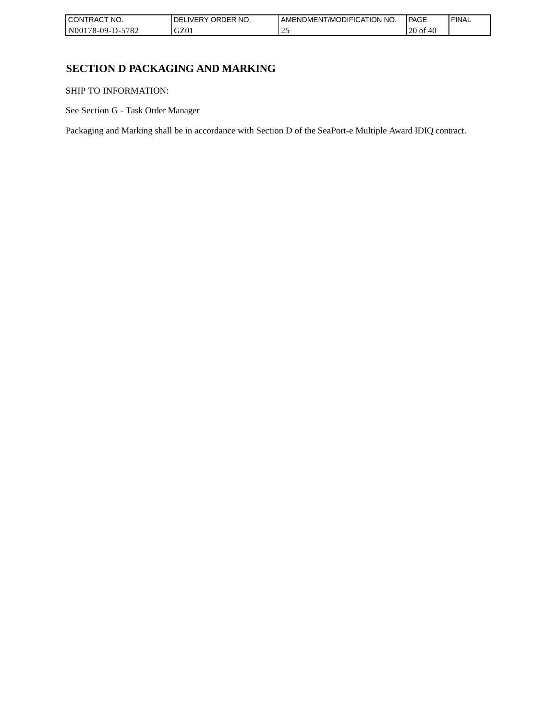| I CONTRACT NO.           | `NO.<br>ORDER<br>.IVERY<br>DELI | AMENDMENT/MODIFICATION NO. | <b>PAGE</b>           | 'FINAL |
|--------------------------|---------------------------------|----------------------------|-----------------------|--------|
| -5782<br>  N00178-09-D-5 | GZ0 <sub>1</sub>                | <u>_</u>                   | 0.10<br>$20$ of<br>40 |        |

# **SECTION D PACKAGING AND MARKING**

SHIP TO INFORMATION:

See Section G - Task Order Manager

Packaging and Marking shall be in accordance with Section D of the SeaPort-e Multiple Award IDIQ contract.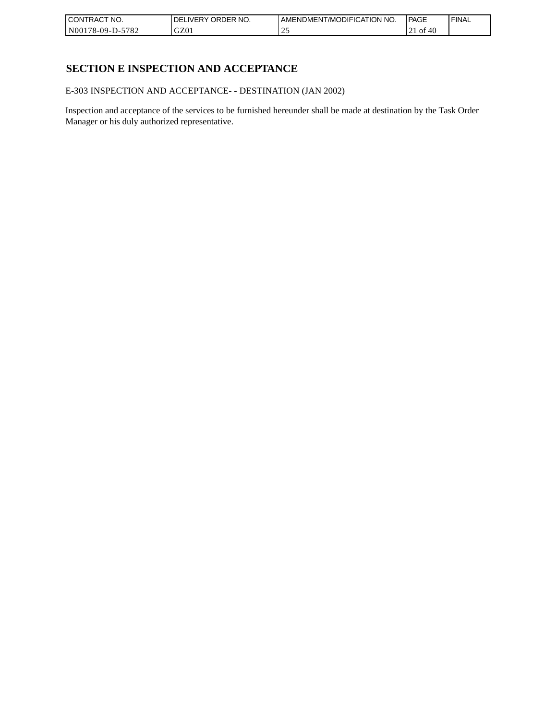| CONTRACT<br>`CT NO.      | NO.<br>' ORDER<br><b>DELIVERY</b> | I AMENDMENT/MODIFICATION NO. | l PAGE       | ' FINAL |
|--------------------------|-----------------------------------|------------------------------|--------------|---------|
| $-5782$<br>N00178-09-D-5 | GZ01                              |                              | 21 of<br>-40 |         |

# **SECTION E INSPECTION AND ACCEPTANCE**

E-303 INSPECTION AND ACCEPTANCE- - DESTINATION (JAN 2002)

Inspection and acceptance of the services to be furnished hereunder shall be made at destination by the Task Order Manager or his duly authorized representative.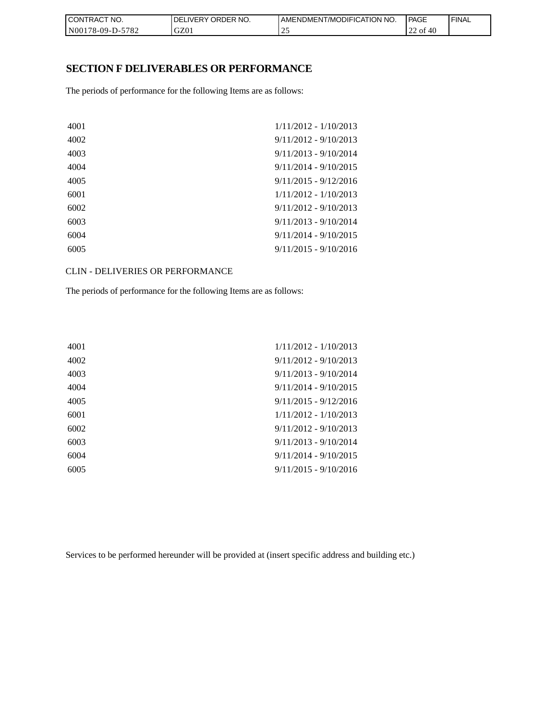| I CONTRACT NO.   | <b>IDELIVERY ORDER NO.</b> | AMENDMENT/MODIFICATION NO. | PAGE              | 'FINAL |
|------------------|----------------------------|----------------------------|-------------------|--------|
| N00178-09-D-5782 | GZ01                       | <u>_</u>                   | - of<br>-46<br>∠∠ |        |

## **SECTION F DELIVERABLES OR PERFORMANCE**

The periods of performance for the following Items are as follows:

| 4001 | $1/11/2012 - 1/10/2013$ |
|------|-------------------------|
| 4002 | $9/11/2012 - 9/10/2013$ |
| 4003 | $9/11/2013 - 9/10/2014$ |
| 4004 | $9/11/2014 - 9/10/2015$ |
| 4005 | $9/11/2015 - 9/12/2016$ |
| 6001 | $1/11/2012 - 1/10/2013$ |
| 6002 | $9/11/2012 - 9/10/2013$ |
| 6003 | $9/11/2013 - 9/10/2014$ |
| 6004 | $9/11/2014 - 9/10/2015$ |
| 6005 | $9/11/2015 - 9/10/2016$ |
|      |                         |

CLIN - DELIVERIES OR PERFORMANCE

The periods of performance for the following Items are as follows:

| 4001 | $1/11/2012 - 1/10/2013$ |
|------|-------------------------|
| 4002 | $9/11/2012 - 9/10/2013$ |
| 4003 | $9/11/2013 - 9/10/2014$ |
| 4004 | $9/11/2014 - 9/10/2015$ |
| 4005 | $9/11/2015 - 9/12/2016$ |
| 6001 | $1/11/2012 - 1/10/2013$ |
| 6002 | $9/11/2012 - 9/10/2013$ |
| 6003 | $9/11/2013 - 9/10/2014$ |
| 6004 | $9/11/2014 - 9/10/2015$ |
| 6005 | $9/11/2015 - 9/10/2016$ |
|      |                         |

Services to be performed hereunder will be provided at (insert specific address and building etc.)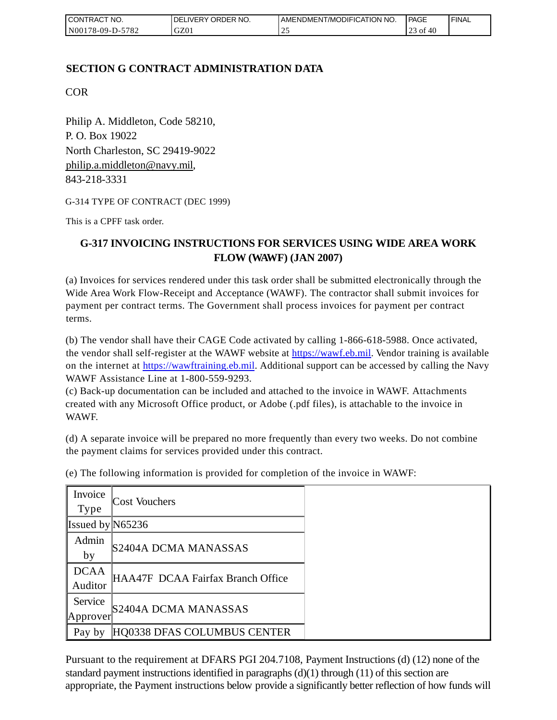| I CONTRACT NO.   | DELIVERY ORDER NO. | AMENDMENT/MODIFICATION NO. | PAGE                                                           | 'FINAL |
|------------------|--------------------|----------------------------|----------------------------------------------------------------|--------|
| N00178-09-D-5782 | GZ01               | <u>_</u>                   | $\mathcal{C}$ $\mathcal{A}$ $\mathcal{C}$<br>0t<br>-40<br>ر_ ب |        |

# **SECTION G CONTRACT ADMINISTRATION DATA**

COR

Philip A. Middleton, Code 58210, P. O. Box 19022 North Charleston, SC 29419-9022 [philip.a.middleton@navy.mil,](mailto:cphilip.a.middleton@navy.mil) 843-218-3331

G-314 TYPE OF CONTRACT (DEC 1999)

This is a CPFF task order.

# **G-317 INVOICING INSTRUCTIONS FOR SERVICES USING WIDE AREA WORK FLOW (WAWF) (JAN 2007)**

(a) Invoices for services rendered under this task order shall be submitted electronically through the Wide Area Work Flow-Receipt and Acceptance (WAWF). The contractor shall submit invoices for payment per contract terms. The Government shall process invoices for payment per contract terms.

(b) The vendor shall have their CAGE Code activated by calling 1-866-618-5988. Once activated, the vendor shall self-register at the WAWF website at [https://wawf.eb.mil.](https://wawf.eb.mil/) Vendor training is available on the internet at [https://wawftraining.eb.mil.](https://wawftraining.eb.mil/) Additional support can be accessed by calling the Navy WAWF Assistance Line at 1-800-559-9293.

(c) Back-up documentation can be included and attached to the invoice in WAWF. Attachments created with any Microsoft Office product, or Adobe (.pdf files), is attachable to the invoice in WAWF.

(d) A separate invoice will be prepared no more frequently than every two weeks. Do not combine the payment claims for services provided under this contract.

| Invoice<br><b>Type</b> | <b>Cost Vouchers</b>              |
|------------------------|-----------------------------------|
|                        |                                   |
| Issued by $N65236$     |                                   |
| Admin                  |                                   |
| by                     | S2404A DCMA MANASSAS              |
| <b>DCAA</b>            |                                   |
| Auditor                | HAA47F DCAA Fairfax Branch Office |
| Service                |                                   |
| Approver               | S2404A DCMA MANASSAS              |
| Pay by                 | HQ0338 DFAS COLUMBUS CENTER       |

(e) The following information is provided for completion of the invoice in WAWF:

Pursuant to the requirement at DFARS PGI 204.7108, Payment Instructions (d) (12) none of the standard payment instructions identified in paragraphs  $(d)(1)$  through  $(11)$  of this section are appropriate, the Payment instructions below provide a significantly better reflection of how funds will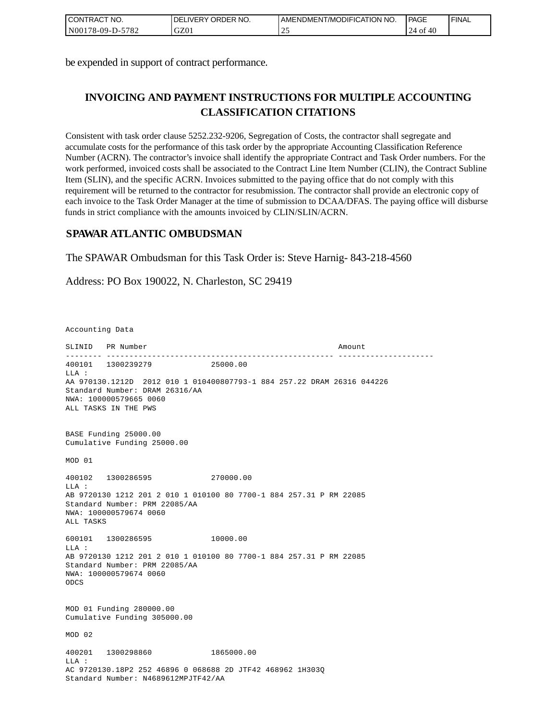| <b>I CONTRACT NO.</b> | I DELIVERY ORDER NO. | I AMENDMENT/MODIFICATION NO. | <b>PAGE</b> | 'FINAL |
|-----------------------|----------------------|------------------------------|-------------|--------|
| N00178-09-D-5782      | GZ01                 | $\sim$                       | 40<br>24 of |        |

be expended in support of contract performance.

# **INVOICING AND PAYMENT INSTRUCTIONS FOR MULTIPLE ACCOUNTING CLASSIFICATION CITATIONS**

Consistent with task order clause 5252.232-9206, Segregation of Costs, the contractor shall segregate and accumulate costs for the performance of this task order by the appropriate Accounting Classification Reference Number (ACRN). The contractor's invoice shall identify the appropriate Contract and Task Order numbers. For the work performed, invoiced costs shall be associated to the Contract Line Item Number (CLIN), the Contract Subline Item (SLIN), and the specific ACRN. Invoices submitted to the paying office that do not comply with this requirement will be returned to the contractor for resubmission. The contractor shall provide an electronic copy of each invoice to the Task Order Manager at the time of submission to DCAA/DFAS. The paying office will disburse funds in strict compliance with the amounts invoiced by CLIN/SLIN/ACRN.

## **SPAWAR ATLANTIC OMBUDSMAN**

The SPAWAR Ombudsman for this Task Order is: Steve Harnig- 843-218-4560

Address: PO Box 190022, N. Charleston, SC 29419

Accounting Data

SLINID PR Number Amount -------- -------------------------------------------------- --------------------- 400101 1300239279 25000.00  $T.T.A$  : AA 970130.1212D 2012 010 1 010400807793-1 884 257.22 DRAM 26316 044226 Standard Number: DRAM 26316/AA NWA: 100000579665 0060 ALL TASKS IN THE PWS BASE Funding 25000.00 Cumulative Funding 25000.00 MOD 01 400102 1300286595 270000.00 LLA : AB 9720130 1212 201 2 010 1 010100 80 7700-1 884 257.31 P RM 22085 Standard Number: PRM 22085/AA NWA: 100000579674 0060 ALL TASKS 600101 1300286595 10000.00  $L.L.A$  : AB 9720130 1212 201 2 010 1 010100 80 7700-1 884 257.31 P RM 22085 Standard Number: PRM 22085/AA NWA: 100000579674 0060 ODCS MOD 01 Funding 280000.00 Cumulative Funding 305000.00 MOD 02 400201 1300298860 1865000.00  $T.T.A$  : AC 9720130.18P2 252 46896 0 068688 2D JTF42 468962 1H303Q Standard Number: N4689612MPJTF42/AA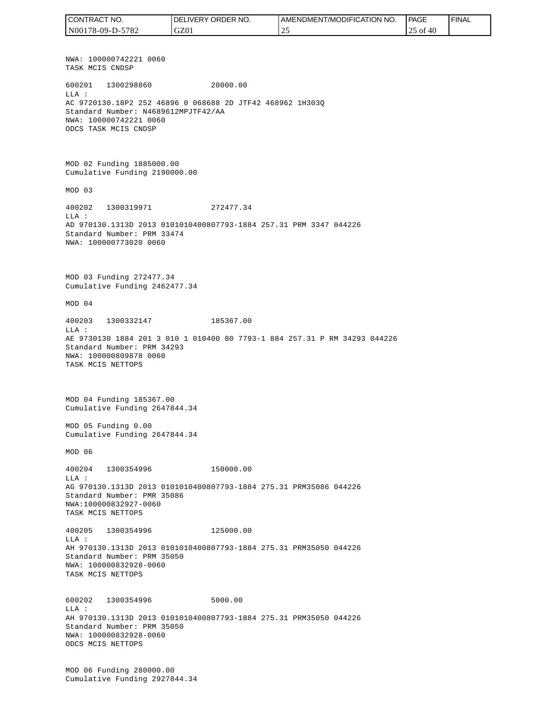NWA: 100000742221 0060 TASK MCIS CNDSP 600201 1300298860 20000.00 LLA : AC 9720130.18P2 252 46896 0 068688 2D JTF42 468962 1H303Q Standard Number: N4689612MPJTF42/AA NWA: 100000742221 0060 ODCS TASK MCIS CNDSP MOD 02 Funding 1885000.00 Cumulative Funding 2190000.00 MOD 03 400202 1300319971 272477.34 LLA : AD 970130.1313D 2013 0101010400807793-1884 257.31 PRM 3347 044226 Standard Number: PRM 33474 NWA: 100000773020 0060 MOD 03 Funding 272477.34 Cumulative Funding 2462477.34 MOD 04 400203 1300332147 185367.00  $T.T.A$  : AE 9730130 1884 201 3 010 1 010400 80 7793-1 884 257.31 P RM 34293 044226 Standard Number: PRM 34293 NWA: 100000809878 0060 TASK MCIS NETTOPS MOD 04 Funding 185367.00 Cumulative Funding 2647844.34 MOD 05 Funding 0.00 Cumulative Funding 2647844.34 MOD 06 400204 1300354996 150000.00  $L.L.A$  : AG 970130.1313D 2013 0101010400807793-1884 275.31 PRM35086 044226 Standard Number: PMR 35086 NWA:100000832927-0060 TASK MCIS NETTOPS 400205 1300354996 125000.00 LLA : AH 970130.1313D 2013 0101010400807793-1884 275.31 PRM35050 044226 Standard Number: PRM 35050 NWA: 100000832928-0060 TASK MCIS NETTOPS 600202 1300354996 5000.00 LLA : AH 970130.1313D 2013 0101010400807793-1884 275.31 PRM35050 044226 Standard Number: PRM 35050 NWA: 100000832928-0060 ODCS MCIS NETTOPS MOD 06 Funding 280000.00 Cumulative Funding 2927844.34 CONTRACT NO. N00178-09-D-5782 DELIVERY ORDER NO. GZ01 AMENDMENT/MODIFICATION NO. 25 **PAGE**  25 of 40 FINAL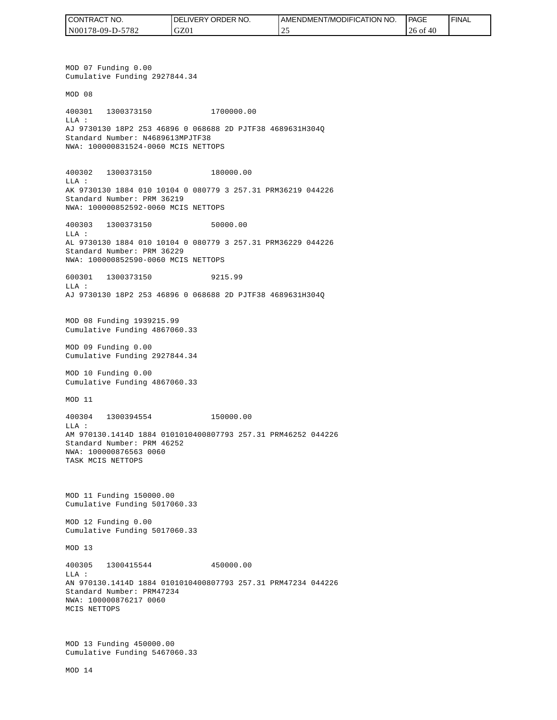| I CONTRACT NO.   | NO.<br><b>DELIVERY ORDER</b> | AMENDMENT/MODIFICATION NO. | <b>PAGE</b>  | ' FINAL |
|------------------|------------------------------|----------------------------|--------------|---------|
| N00178-09-D-5782 | GZ01                         | ∼                          | 26 of<br>-46 |         |

MOD 07 Funding 0.00 Cumulative Funding 2927844.34 MOD 08 400301 1300373150 1700000.00 LLA : AJ 9730130 18P2 253 46896 0 068688 2D PJTF38 4689631H304Q Standard Number: N4689613MPJTF38 NWA: 100000831524-0060 MCIS NETTOPS 400302 1300373150 180000.00 LLA : AK 9730130 1884 010 10104 0 080779 3 257.31 PRM36219 044226 Standard Number: PRM 36219 NWA: 100000852592-0060 MCIS NETTOPS 400303 1300373150 50000.00  $T.T.A$  : AL 9730130 1884 010 10104 0 080779 3 257.31 PRM36229 044226 Standard Number: PRM 36229 NWA: 100000852590-0060 MCIS NETTOPS 600301 1300373150 9215.99 LLA : AJ 9730130 18P2 253 46896 0 068688 2D PJTF38 4689631H304Q MOD 08 Funding 1939215.99 Cumulative Funding 4867060.33 MOD 09 Funding 0.00 Cumulative Funding 2927844.34 MOD 10 Funding 0.00 Cumulative Funding 4867060.33 MOD 11 400304 1300394554 150000.00  $T.T.A$  : AM 970130.1414D 1884 0101010400807793 257.31 PRM46252 044226 Standard Number: PRM 46252 NWA: 100000876563 0060 TASK MCIS NETTOPS MOD 11 Funding 150000.00 Cumulative Funding 5017060.33 MOD 12 Funding 0.00 Cumulative Funding 5017060.33 MOD 13 400305 1300415544 450000.00 LLA : AN 970130.1414D 1884 0101010400807793 257.31 PRM47234 044226 Standard Number: PRM47234 NWA: 100000876217 0060 MCIS NETTOPS MOD 13 Funding 450000.00 Cumulative Funding 5467060.33 CONTRACT NO.<br>NO0178-09-D-5<br>NO0178-09-D-5<br>NO0178-09-D-5<br>NOD 07 Fundin<br>Cumulative Fu<br>MOD 08<br>400301 1300<br>Standard Numk<br>NMA: 10000083<br>400302 1300<br>LLA:<br>AK 9730130 18<br>Standard Numk<br>NMA: 10000085<br>600301 1300<br>LLA: 9730130 18<br>MMA: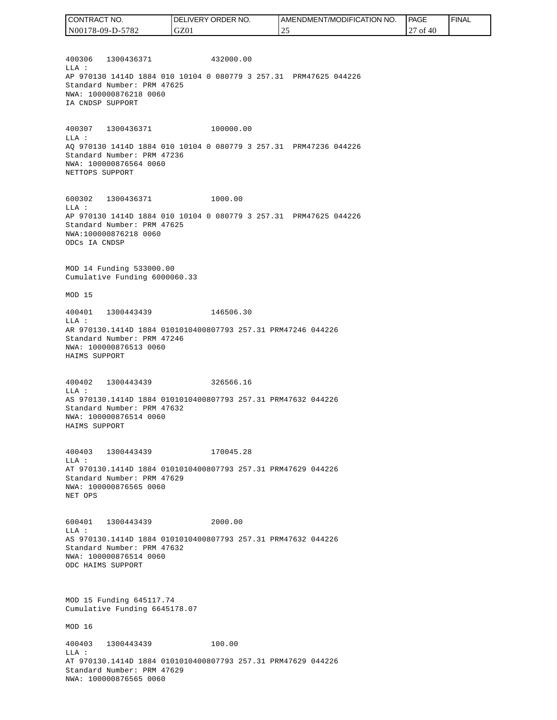| CONTRACT NO.     | DELIVERY ORDER NO. | AMENDMENT/MODIFICATION NO. | PAGE           | ' FINAL |
|------------------|--------------------|----------------------------|----------------|---------|
| N00178-09-D-5782 | GZ01               |                            | -40<br>0t<br>∼ |         |

400306 1300436371 432000.00 LLA : AP 970130 1414D 1884 010 10104 0 080779 3 257.31 PRM47625 044226 Standard Number: PRM 47625 NWA: 100000876218 0060 IA CNDSP SUPPORT

400307 1300436371 100000.00 LLA : AQ 970130 1414D 1884 010 10104 0 080779 3 257.31 PRM47236 044226 Standard Number: PRM 47236 NWA: 100000876564 0060 NETTOPS SUPPORT

600302 1300436371 1000.00 LLA : AP 970130 1414D 1884 010 10104 0 080779 3 257.31 PRM47625 044226 Standard Number: PRM 47625 NWA:100000876218 0060 ODCs IA CNDSP

MOD 14 Funding 533000.00 Cumulative Funding 6000060.33

MOD 15

400401 1300443439 146506.30 LLA : AR 970130.1414D 1884 0101010400807793 257.31 PRM47246 044226 Standard Number: PRM 47246 NWA: 100000876513 0060 HAIMS SUPPORT

400402 1300443439 326566.16 LLA : AS 970130.1414D 1884 0101010400807793 257.31 PRM47632 044226 Standard Number: PRM 47632 NWA: 100000876514 0060 HAIMS SUPPORT

400403 1300443439 170045.28 LLA : AT 970130.1414D 1884 0101010400807793 257.31 PRM47629 044226 Standard Number: PRM 47629 NWA: 100000876565 0060 NET OPS

600401 1300443439 2000.00 LLA : AS 970130.1414D 1884 0101010400807793 257.31 PRM47632 044226 Standard Number: PRM 47632 NWA: 100000876514 0060 ODC HAIMS SUPPORT

MOD 15 Funding 645117.74 Cumulative Funding 6645178.07

MOD 16

400403 1300443439 100.00 LLA : AT 970130.1414D 1884 0101010400807793 257.31 PRM47629 044226 Standard Number: PRM 47629 NWA: 100000876565 0060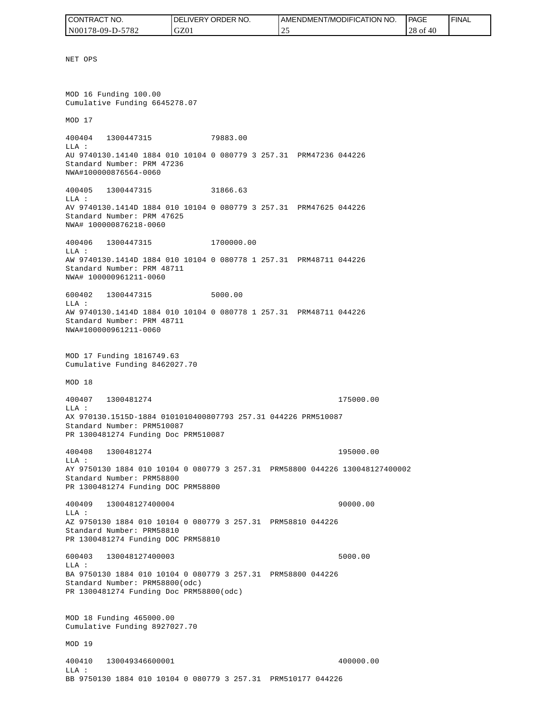| CONTRACT NO.     | NO.<br>DELIVERY ORDER | <b>AMENDMENT/MODIFICATION NO.</b> | <b>PAGE</b>        | <b>FINAL</b> |
|------------------|-----------------------|-----------------------------------|--------------------|--------------|
| N00178-09-D-5782 | GZ01                  | $\sim$<br><u>.</u>                | n o<br>40<br>28 of |              |

NET OPS MOD 16 Funding 100.00 Cumulative Funding 6645278.07 MOD 17 400404 1300447315 79883.00 LLA : AU 9740130.14140 1884 010 10104 0 080779 3 257.31 PRM47236 044226 Standard Number: PRM 47236 NWA#100000876564-0060 400405 1300447315 31866.63 LLA : AV 9740130.1414D 1884 010 10104 0 080779 3 257.31 PRM47625 044226 Standard Number: PRM 47625 NWA# 100000876218-0060 400406 1300447315 1700000.00 LLA : AW 9740130.1414D 1884 010 10104 0 080778 1 257.31 PRM48711 044226 Standard Number: PRM 48711 NWA# 100000961211-0060 600402 1300447315 5000.00  $T.T.A$  : AW 9740130.1414D 1884 010 10104 0 080778 1 257.31 PRM48711 044226 Standard Number: PRM 48711 NWA#100000961211-0060 MOD 17 Funding 1816749.63 Cumulative Funding 8462027.70 MOD 18 400407 1300481274 175000.00 LLA : AX 970130.1515D-1884 0101010400807793 257.31 044226 PRM510087 Standard Number: PRM510087 PR 1300481274 Funding Doc PRM510087 400408 1300481274 195000.00 LLA : AY 9750130 1884 010 10104 0 080779 3 257.31 PRM58800 044226 130048127400002 Standard Number: PRM58800 PR 1300481274 Funding DOC PRM58800 400409 130048127400004 90000.00 LLA : AZ 9750130 1884 010 10104 0 080779 3 257.31 PRM58810 044226 Standard Number: PRM58810 PR 1300481274 Funding DOC PRM58810 600403 130048127400003 5000.00 LLA : BA 9750130 1884 010 10104 0 080779 3 257.31 PRM58800 044226 Standard Number: PRM58800(odc) PR 1300481274 Funding Doc PRM58800(odc) MOD 18 Funding 465000.00 Cumulative Funding 8927027.70 MOD 19 400410 130049346600001 400000.00 LLA :

BB 9750130 1884 010 10104 0 080779 3 257.31 PRM510177 044226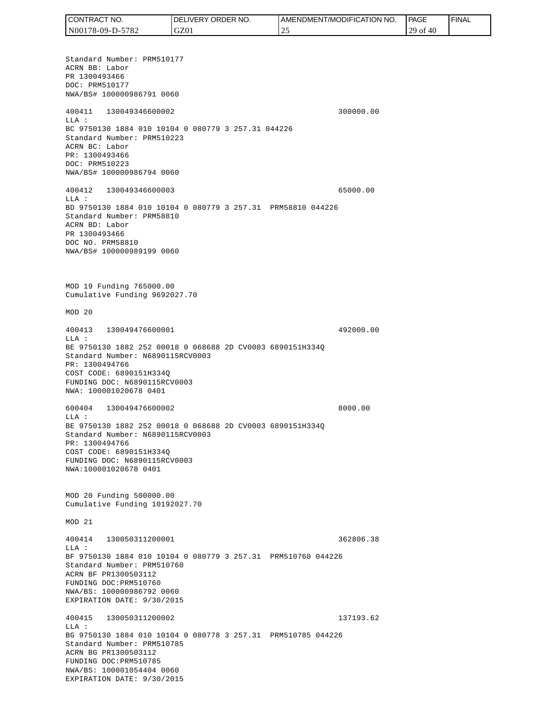Standard Number: PRM510177 ACRN BB: Labor PR 1300493466 DOC: PRM510177 NWA/BS# 100000986791 0060 400411 130049346600002 300000.00 LLA : BC 9750130 1884 010 10104 0 080779 3 257.31 044226 Standard Number: PRM510223 ACRN BC: Labor PR: 1300493466 DOC: PRM510223 NWA/BS# 100000986794 0060 400412 130049346600003 65000.00 LLA : BD 9750130 1884 010 10104 0 080779 3 257.31 PRM58810 044226 Standard Number: PRM58810 ACRN BD: Labor PR 1300493466 DOC NO. PRM58810 NWA/BS# 100000989199 0060 MOD 19 Funding 765000.00 Cumulative Funding 9692027.70 MOD 20 400413 130049476600001 492000.00 LLA : BE 9750130 1882 252 00018 0 068688 2D CV0003 6890151H334Q Standard Number: N6890115RCV0003 PR: 1300494766 COST CODE: 6890151H334Q FUNDING DOC: N6890115RCV0003 NWA: 100001020678 0401 600404 130049476600002 8000.00 LLA : BE 9750130 1882 252 00018 0 068688 2D CV0003 6890151H334Q Standard Number: N6890115RCV0003 PR: 1300494766 COST CODE: 6890151H334Q FUNDING DOC: N6890115RCV0003 NWA:100001020678 0401 MOD 20 Funding 500000.00 Cumulative Funding 10192027.70 MOD 21 400414 130050311200001 362806.38  $T.T.A$  : BF 9750130 1884 010 10104 0 080779 3 257.31 PRM510760 044226 Standard Number: PRM510760 ACRN BF PR1300503112 FUNDING DOC:PRM510760 NWA/BS: 100000986792 0060 EXPIRATION DATE: 9/30/2015 400415 130050311200002 137193.62 LLA : BG 9750130 1884 010 10104 0 080778 3 257.31 PRM510785 044226 Standard Number: PRM510785 ACRN BG PR1300503112 FUNDING DOC:PRM510785 NWA/BS: 100001054404 0060 EXPIRATION DATE: 9/30/2015 CONTRACT NO. N00178-09-D-5782 DELIVERY ORDER NO. GZ01 AMENDMENT/MODIFICATION NO. 25 **PAGE**  29 of 40 FINAL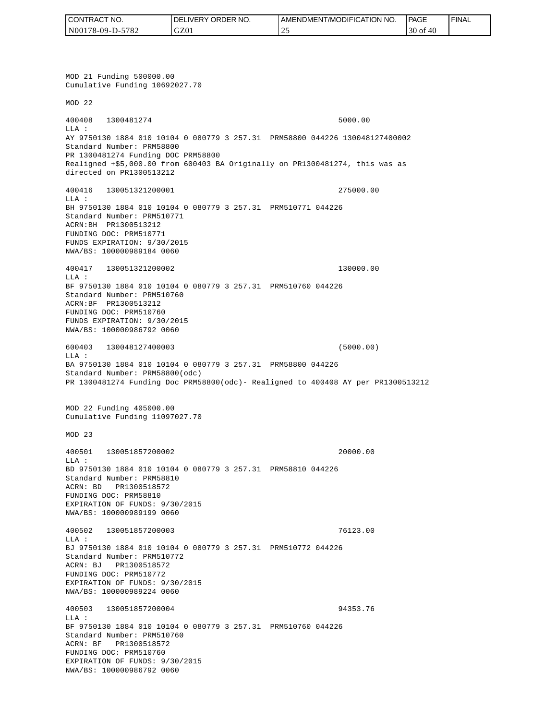| CONTRACT NO.     | <b>IDELIVERY ORDER NO.</b> | <b>I AMENDMENT/MODIFICATION NO.</b> | <b>PAGE</b>   | <b>FINAL</b> |
|------------------|----------------------------|-------------------------------------|---------------|--------------|
| N00178-09-D-5782 | GZ01                       | <u>_</u>                            | $30$ of<br>40 |              |

MOD 21 Funding 500000.00 Cumulative Funding 10692027.70 MOD 22 400408 1300481274 5000.00 LLA : AY 9750130 1884 010 10104 0 080779 3 257.31 PRM58800 044226 130048127400002 Standard Number: PRM58800 PR 1300481274 Funding DOC PRM58800 Realigned +\$5,000.00 from 600403 BA Originally on PR1300481274, this was as directed on PR1300513212 400416 130051321200001 275000.00 LLA : BH 9750130 1884 010 10104 0 080779 3 257.31 PRM510771 044226 Standard Number: PRM510771 ACRN:BH PR1300513212 FUNDING DOC: PRM510771 FUNDS EXPIRATION: 9/30/2015 NWA/BS: 100000989184 0060 400417 130051321200002 130000.00 LLA : BF 9750130 1884 010 10104 0 080779 3 257.31 PRM510760 044226 Standard Number: PRM510760 ACRN:BF PR1300513212 FUNDING DOC: PRM510760 FUNDS EXPIRATION: 9/30/2015 NWA/BS: 100000986792 0060 600403 130048127400003 (5000.00) LLA : BA 9750130 1884 010 10104 0 080779 3 257.31 PRM58800 044226 Standard Number: PRM58800(odc) PR 1300481274 Funding Doc PRM58800(odc)- Realigned to 400408 AY per PR1300513212 MOD 22 Funding 405000.00 Cumulative Funding 11097027.70 MOD 23 400501 130051857200002 20000.00 LLA : BD 9750130 1884 010 10104 0 080779 3 257.31 PRM58810 044226 Standard Number: PRM58810 ACRN: BD PR1300518572 FUNDING DOC: PRM58810 EXPIRATION OF FUNDS: 9/30/2015 NWA/BS: 100000989199 0060 400502 130051857200003 76123.00 LLA : BJ 9750130 1884 010 10104 0 080779 3 257.31 PRM510772 044226 Standard Number: PRM510772 ACRN: BJ PR1300518572 FUNDING DOC: PRM510772 EXPIRATION OF FUNDS: 9/30/2015 NWA/BS: 100000989224 0060 400503 130051857200004 94353.76 LLA : BF 9750130 1884 010 10104 0 080779 3 257.31 PRM510760 044226 Standard Number: PRM510760 ACRN: BF PR1300518572 FUNDING DOC: PRM510760 EXPIRATION OF FUNDS: 9/30/2015<br>NWA/BS: 100000986792 0060 CONTRACT NO. 5<br>
NO0178-09-D-5782<br>
NO0178-09-D-5782<br>
NOD 21 Funding 500000.00<br>
NOD 21 Funding 500000.00<br>
NOD 22<br>
200408 1300481274<br>
ELA :<br>
Standard Number: FRNS8800<br>
Realigned 455,000.00 from<br>
Realigned 455,000.00 from<br>
dir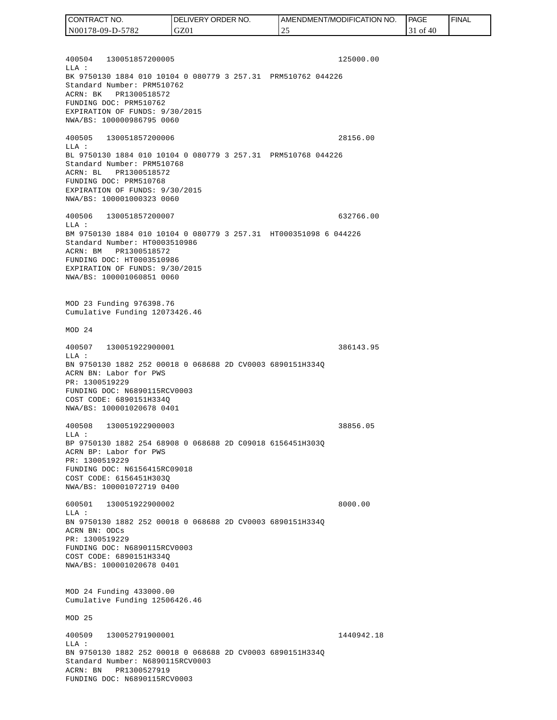400504 130051857200005 125000.00  $T.T.A$  : BK 9750130 1884 010 10104 0 080779 3 257.31 PRM510762 044226 Standard Number: PRM510762 ACRN: BK PR1300518572 FUNDING DOC: PRM510762 EXPIRATION OF FUNDS: 9/30/2015 NWA/BS: 100000986795 0060 400505 130051857200006 28156.00 LLA : BL 9750130 1884 010 10104 0 080779 3 257.31 PRM510768 044226 Standard Number: PRM510768 ACRN: BL PR1300518572 FUNDING DOC: PRM510768 EXPIRATION OF FUNDS: 9/30/2015 NWA/BS: 100001000323 0060 400506 130051857200007 632766.00 LLA : BM 9750130 1884 010 10104 0 080779 3 257.31 HT000351098 6 044226 Standard Number: HT0003510986 ACRN: BM PR1300518572 FUNDING DOC: HT0003510986 EXPIRATION OF FUNDS: 9/30/2015 NWA/BS: 100001060851 0060 MOD 23 Funding 976398.76 Cumulative Funding 12073426.46 MOD 24 400507 130051922900001 386143.95 LLA : BN 9750130 1882 252 00018 0 068688 2D CV0003 6890151H334Q ACRN BN: Labor for PWS PR: 1300519229 FUNDING DOC: N6890115RCV0003 COST CODE: 6890151H334Q NWA/BS: 100001020678 0401 400508 130051922900003 38856.05 LLA : BP 9750130 1882 254 68908 0 068688 2D C09018 6156451H303Q ACRN BP: Labor for PWS PR: 1300519229 FUNDING DOC: N6156415RC09018 COST CODE: 6156451H303Q NWA/BS: 100001072719 0400 600501 130051922900002 8000.00 LLA : BN 9750130 1882 252 00018 0 068688 2D CV0003 6890151H334Q ACRN BN: ODCs PR: 1300519229 FUNDING DOC: N6890115RCV0003 COST CODE: 6890151H334Q NWA/BS: 100001020678 0401 MOD 24 Funding 433000.00 Cumulative Funding 12506426.46 MOD 25 400509 130052791900001 1440942.18  $L.L.A$  : BN 9750130 1882 252 00018 0 068688 2D CV0003 6890151H334Q CONTRACT NO. N00178-09-D-5782 DELIVERY ORDER NO. GZ01 AMENDMENT/MODIFICATION NO. 25 **PAGE**  31 of 40 FINAL

Standard Number: N6890115RCV0003

ACRN: BN PR1300527919 FUNDING DOC: N6890115RCV0003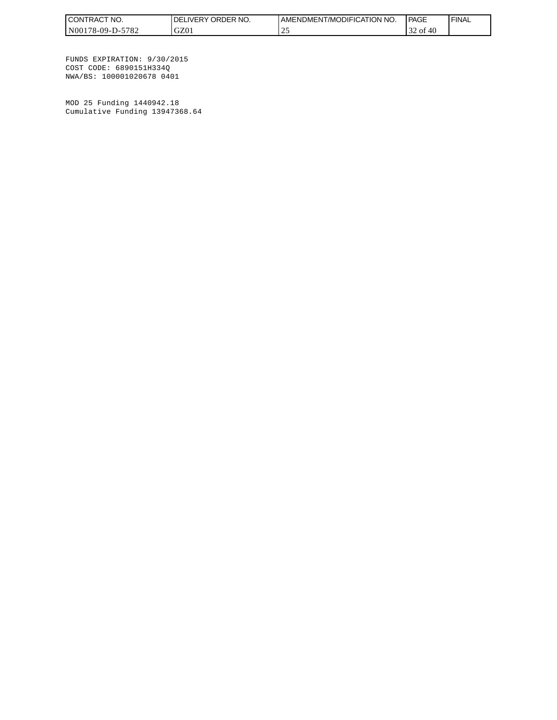| <b>CONT</b><br>TNO.<br>FRAC'   | ORDER NO.<br><b>IVERY</b><br>ΩF | ODIFICATION NO.<br>AMENDMENT<br>T/MC | <b>PAGE</b>       | <b>FINAL</b> |
|--------------------------------|---------------------------------|--------------------------------------|-------------------|--------------|
| N001<br>5782<br>$78-09-1$<br>. | GZ01                            | <u>_</u>                             | 40<br>' of<br>ے ب |              |

FUNDS EXPIRATION: 9/30/2015 COST CODE: 6890151H334Q NWA/BS: 100001020678 0401

MOD 25 Funding 1440942.18 Cumulative Funding 13947368.64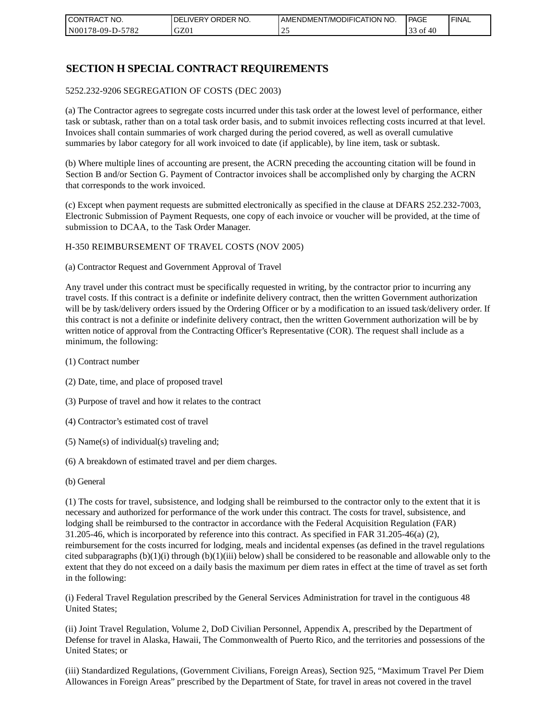| I CONTRACT NO.   | NO.<br>DELIVERY ORDER | AMENDMENT/MODIFICATION NO. | PAGE            | ' FINAL |
|------------------|-----------------------|----------------------------|-----------------|---------|
| N00178-09-D-5782 | GZ01                  | <u>_</u>                   | ΟĪ<br>40<br>ر ر |         |

## **SECTION H SPECIAL CONTRACT REQUIREMENTS**

#### 5252.232-9206 SEGREGATION OF COSTS (DEC 2003)

(a) The Contractor agrees to segregate costs incurred under this task order at the lowest level of performance, either task or subtask, rather than on a total task order basis, and to submit invoices reflecting costs incurred at that level. Invoices shall contain summaries of work charged during the period covered, as well as overall cumulative summaries by labor category for all work invoiced to date (if applicable), by line item, task or subtask.

(b) Where multiple lines of accounting are present, the ACRN preceding the accounting citation will be found in Section B and/or Section G. Payment of Contractor invoices shall be accomplished only by charging the ACRN that corresponds to the work invoiced.

(c) Except when payment requests are submitted electronically as specified in the clause at DFARS 252.232-7003, Electronic Submission of Payment Requests, one copy of each invoice or voucher will be provided, at the time of submission to DCAA, to the Task Order Manager.

#### H-350 REIMBURSEMENT OF TRAVEL COSTS (NOV 2005)

(a) Contractor Request and Government Approval of Travel

Any travel under this contract must be specifically requested in writing, by the contractor prior to incurring any travel costs. If this contract is a definite or indefinite delivery contract, then the written Government authorization will be by task/delivery orders issued by the Ordering Officer or by a modification to an issued task/delivery order. If this contract is not a definite or indefinite delivery contract, then the written Government authorization will be by written notice of approval from the Contracting Officer's Representative (COR). The request shall include as a minimum, the following:

- (1) Contract number
- (2) Date, time, and place of proposed travel
- (3) Purpose of travel and how it relates to the contract
- (4) Contractor's estimated cost of travel
- (5) Name(s) of individual(s) traveling and;
- (6) A breakdown of estimated travel and per diem charges.
- (b) General

(1) The costs for travel, subsistence, and lodging shall be reimbursed to the contractor only to the extent that it is necessary and authorized for performance of the work under this contract. The costs for travel, subsistence, and lodging shall be reimbursed to the contractor in accordance with the Federal Acquisition Regulation (FAR) 31.205-46, which is incorporated by reference into this contract. As specified in FAR 31.205-46(a) (2), reimbursement for the costs incurred for lodging, meals and incidental expenses (as defined in the travel regulations cited subparagraphs  $(b)(1)(i)$  through  $(b)(1)(iii)$  below) shall be considered to be reasonable and allowable only to the extent that they do not exceed on a daily basis the maximum per diem rates in effect at the time of travel as set forth in the following:

(i) Federal Travel Regulation prescribed by the General Services Administration for travel in the contiguous 48 United States;

(ii) Joint Travel Regulation, Volume 2, DoD Civilian Personnel, Appendix A, prescribed by the Department of Defense for travel in Alaska, Hawaii, The Commonwealth of Puerto Rico, and the territories and possessions of the United States; or

(iii) Standardized Regulations, (Government Civilians, Foreign Areas), Section 925, "Maximum Travel Per Diem Allowances in Foreign Areas" prescribed by the Department of State, for travel in areas not covered in the travel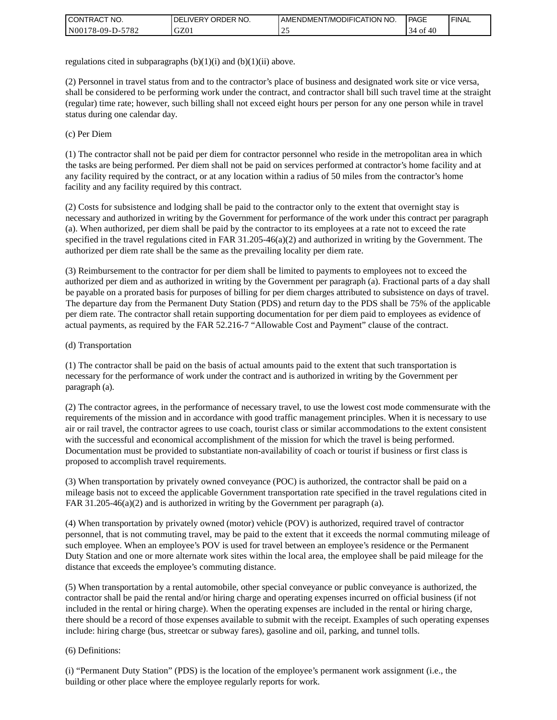| I CONTRACT NO.   | ' ORDER NO.<br><b>DELIVERY</b> | I AMENDMENT/MODIFICATION NO. | <b>PAGE</b>     | l FINAL |
|------------------|--------------------------------|------------------------------|-----------------|---------|
| N00178-09-D-5782 | GZ0.                           | <u>_</u>                     | 40<br>0Ī<br>.54 |         |

regulations cited in subparagraphs  $(b)(1)(i)$  and  $(b)(1)(ii)$  above.

(2) Personnel in travel status from and to the contractor's place of business and designated work site or vice versa, shall be considered to be performing work under the contract, and contractor shall bill such travel time at the straight (regular) time rate; however, such billing shall not exceed eight hours per person for any one person while in travel status during one calendar day.

(c) Per Diem

(1) The contractor shall not be paid per diem for contractor personnel who reside in the metropolitan area in which the tasks are being performed. Per diem shall not be paid on services performed at contractor's home facility and at any facility required by the contract, or at any location within a radius of 50 miles from the contractor's home facility and any facility required by this contract.

(2) Costs for subsistence and lodging shall be paid to the contractor only to the extent that overnight stay is necessary and authorized in writing by the Government for performance of the work under this contract per paragraph (a). When authorized, per diem shall be paid by the contractor to its employees at a rate not to exceed the rate specified in the travel regulations cited in FAR 31.205-46(a)(2) and authorized in writing by the Government. The authorized per diem rate shall be the same as the prevailing locality per diem rate.

(3) Reimbursement to the contractor for per diem shall be limited to payments to employees not to exceed the authorized per diem and as authorized in writing by the Government per paragraph (a). Fractional parts of a day shall be payable on a prorated basis for purposes of billing for per diem charges attributed to subsistence on days of travel. The departure day from the Permanent Duty Station (PDS) and return day to the PDS shall be 75% of the applicable per diem rate. The contractor shall retain supporting documentation for per diem paid to employees as evidence of actual payments, as required by the FAR 52.216-7 "Allowable Cost and Payment" clause of the contract.

### (d) Transportation

(1) The contractor shall be paid on the basis of actual amounts paid to the extent that such transportation is necessary for the performance of work under the contract and is authorized in writing by the Government per paragraph (a).

(2) The contractor agrees, in the performance of necessary travel, to use the lowest cost mode commensurate with the requirements of the mission and in accordance with good traffic management principles. When it is necessary to use air or rail travel, the contractor agrees to use coach, tourist class or similar accommodations to the extent consistent with the successful and economical accomplishment of the mission for which the travel is being performed. Documentation must be provided to substantiate non-availability of coach or tourist if business or first class is proposed to accomplish travel requirements.

(3) When transportation by privately owned conveyance (POC) is authorized, the contractor shall be paid on a mileage basis not to exceed the applicable Government transportation rate specified in the travel regulations cited in FAR 31.205-46(a)(2) and is authorized in writing by the Government per paragraph (a).

(4) When transportation by privately owned (motor) vehicle (POV) is authorized, required travel of contractor personnel, that is not commuting travel, may be paid to the extent that it exceeds the normal commuting mileage of such employee. When an employee's POV is used for travel between an employee's residence or the Permanent Duty Station and one or more alternate work sites within the local area, the employee shall be paid mileage for the distance that exceeds the employee's commuting distance.

(5) When transportation by a rental automobile, other special conveyance or public conveyance is authorized, the contractor shall be paid the rental and/or hiring charge and operating expenses incurred on official business (if not included in the rental or hiring charge). When the operating expenses are included in the rental or hiring charge, there should be a record of those expenses available to submit with the receipt. Examples of such operating expenses include: hiring charge (bus, streetcar or subway fares), gasoline and oil, parking, and tunnel tolls.

#### (6) Definitions:

(i) "Permanent Duty Station" (PDS) is the location of the employee's permanent work assignment (i.e., the building or other place where the employee regularly reports for work.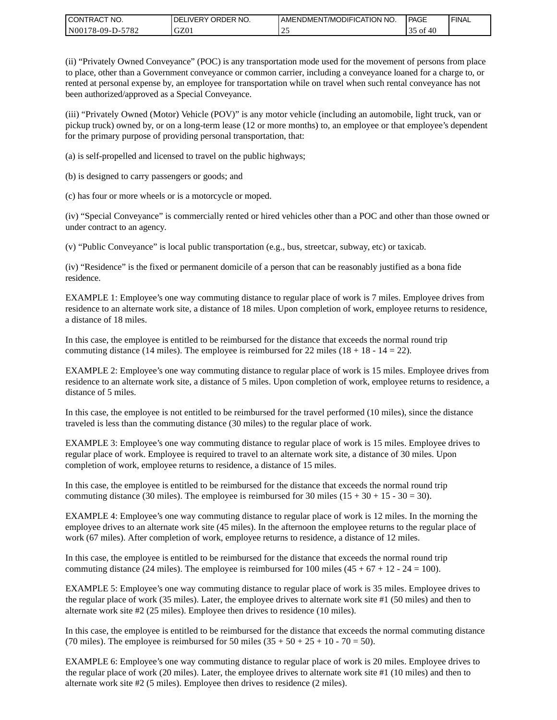| CONTRACT<br>CT NO.       | NO.<br>' ORDER<br><b>DELIVERY</b> | AMENDMENT/MODIFICATION NO. | <b>PAGE</b>    | ' FINAL |
|--------------------------|-----------------------------------|----------------------------|----------------|---------|
| $-5782$<br>N00178-09-D-5 | GZ01                              | سد                         | ОI<br>40<br>JЈ |         |

(ii) "Privately Owned Conveyance" (POC) is any transportation mode used for the movement of persons from place to place, other than a Government conveyance or common carrier, including a conveyance loaned for a charge to, or rented at personal expense by, an employee for transportation while on travel when such rental conveyance has not been authorized/approved as a Special Conveyance.

(iii) "Privately Owned (Motor) Vehicle (POV)" is any motor vehicle (including an automobile, light truck, van or pickup truck) owned by, or on a long-term lease (12 or more months) to, an employee or that employee's dependent for the primary purpose of providing personal transportation, that:

(a) is self-propelled and licensed to travel on the public highways;

(b) is designed to carry passengers or goods; and

(c) has four or more wheels or is a motorcycle or moped.

(iv) "Special Conveyance" is commercially rented or hired vehicles other than a POC and other than those owned or under contract to an agency.

(v) "Public Conveyance" is local public transportation (e.g., bus, streetcar, subway, etc) or taxicab.

(iv) "Residence" is the fixed or permanent domicile of a person that can be reasonably justified as a bona fide residence.

EXAMPLE 1: Employee's one way commuting distance to regular place of work is 7 miles. Employee drives from residence to an alternate work site, a distance of 18 miles. Upon completion of work, employee returns to residence, a distance of 18 miles.

In this case, the employee is entitled to be reimbursed for the distance that exceeds the normal round trip commuting distance (14 miles). The employee is reimbursed for 22 miles (18 + 18 - 14 = 22).

EXAMPLE 2: Employee's one way commuting distance to regular place of work is 15 miles. Employee drives from residence to an alternate work site, a distance of 5 miles. Upon completion of work, employee returns to residence, a distance of 5 miles.

In this case, the employee is not entitled to be reimbursed for the travel performed (10 miles), since the distance traveled is less than the commuting distance (30 miles) to the regular place of work.

EXAMPLE 3: Employee's one way commuting distance to regular place of work is 15 miles. Employee drives to regular place of work. Employee is required to travel to an alternate work site, a distance of 30 miles. Upon completion of work, employee returns to residence, a distance of 15 miles.

In this case, the employee is entitled to be reimbursed for the distance that exceeds the normal round trip commuting distance (30 miles). The employee is reimbursed for 30 miles  $(15 + 30 + 15 - 30 = 30)$ .

EXAMPLE 4: Employee's one way commuting distance to regular place of work is 12 miles. In the morning the employee drives to an alternate work site (45 miles). In the afternoon the employee returns to the regular place of work (67 miles). After completion of work, employee returns to residence, a distance of 12 miles.

In this case, the employee is entitled to be reimbursed for the distance that exceeds the normal round trip commuting distance (24 miles). The employee is reimbursed for 100 miles  $(45 + 67 + 12 - 24 = 100)$ .

EXAMPLE 5: Employee's one way commuting distance to regular place of work is 35 miles. Employee drives to the regular place of work (35 miles). Later, the employee drives to alternate work site #1 (50 miles) and then to alternate work site #2 (25 miles). Employee then drives to residence (10 miles).

In this case, the employee is entitled to be reimbursed for the distance that exceeds the normal commuting distance (70 miles). The employee is reimbursed for 50 miles  $(35 + 50 + 25 + 10 - 70 = 50)$ .

EXAMPLE 6: Employee's one way commuting distance to regular place of work is 20 miles. Employee drives to the regular place of work (20 miles). Later, the employee drives to alternate work site #1 (10 miles) and then to alternate work site #2 (5 miles). Employee then drives to residence (2 miles).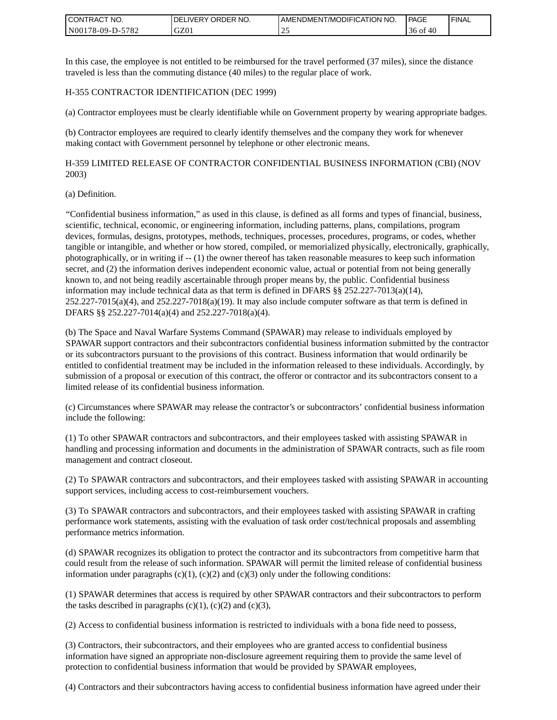| <b>I CONTRACT NO.</b>               | NO.<br>DELIVERY ORDER | AMENDMENT/MODIFICATION NO. | PAGE        | <b>I FINAL</b> |
|-------------------------------------|-----------------------|----------------------------|-------------|----------------|
| 5782<br>N001<br>78-09-E<br>$D^{-r}$ | GZ01                  | <u>_</u>                   | 30 OI<br>40 |                |

In this case, the employee is not entitled to be reimbursed for the travel performed (37 miles), since the distance traveled is less than the commuting distance (40 miles) to the regular place of work.

#### H-355 CONTRACTOR IDENTIFICATION (DEC 1999)

(a) Contractor employees must be clearly identifiable while on Government property by wearing appropriate badges.

(b) Contractor employees are required to clearly identify themselves and the company they work for whenever making contact with Government personnel by telephone or other electronic means.

H-359 LIMITED RELEASE OF CONTRACTOR CONFIDENTIAL BUSINESS INFORMATION (CBI) (NOV 2003)

#### (a) Definition.

"Confidential business information," as used in this clause, is defined as all forms and types of financial, business, scientific, technical, economic, or engineering information, including patterns, plans, compilations, program devices, formulas, designs, prototypes, methods, techniques, processes, procedures, programs, or codes, whether tangible or intangible, and whether or how stored, compiled, or memorialized physically, electronically, graphically, photographically, or in writing if -- (1) the owner thereof has taken reasonable measures to keep such information secret, and (2) the information derives independent economic value, actual or potential from not being generally known to, and not being readily ascertainable through proper means by, the public. Confidential business information may include technical data as that term is defined in DFARS  $\S$ § 252.227-7013(a)(14),  $252.227-7015(a)(4)$ , and  $252.227-7018(a)(19)$ . It may also include computer software as that term is defined in DFARS §§ 252.227-7014(a)(4) and 252.227-7018(a)(4).

(b) The Space and Naval Warfare Systems Command (SPAWAR) may release to individuals employed by SPAWAR support contractors and their subcontractors confidential business information submitted by the contractor or its subcontractors pursuant to the provisions of this contract. Business information that would ordinarily be entitled to confidential treatment may be included in the information released to these individuals. Accordingly, by submission of a proposal or execution of this contract, the offeror or contractor and its subcontractors consent to a limited release of its confidential business information.

(c) Circumstances where SPAWAR may release the contractor's or subcontractors' confidential business information include the following:

(1) To other SPAWAR contractors and subcontractors, and their employees tasked with assisting SPAWAR in handling and processing information and documents in the administration of SPAWAR contracts, such as file room management and contract closeout.

(2) To SPAWAR contractors and subcontractors, and their employees tasked with assisting SPAWAR in accounting support services, including access to cost-reimbursement vouchers.

(3) To SPAWAR contractors and subcontractors, and their employees tasked with assisting SPAWAR in crafting performance work statements, assisting with the evaluation of task order cost/technical proposals and assembling performance metrics information.

(d) SPAWAR recognizes its obligation to protect the contractor and its subcontractors from competitive harm that could result from the release of such information. SPAWAR will permit the limited release of confidential business information under paragraphs  $(c)(1)$ ,  $(c)(2)$  and  $(c)(3)$  only under the following conditions:

(1) SPAWAR determines that access is required by other SPAWAR contractors and their subcontractors to perform the tasks described in paragraphs  $(c)(1)$ ,  $(c)(2)$  and  $(c)(3)$ ,

(2) Access to confidential business information is restricted to individuals with a bona fide need to possess,

(3) Contractors, their subcontractors, and their employees who are granted access to confidential business information have signed an appropriate non-disclosure agreement requiring them to provide the same level of protection to confidential business information that would be provided by SPAWAR employees,

(4) Contractors and their subcontractors having access to confidential business information have agreed under their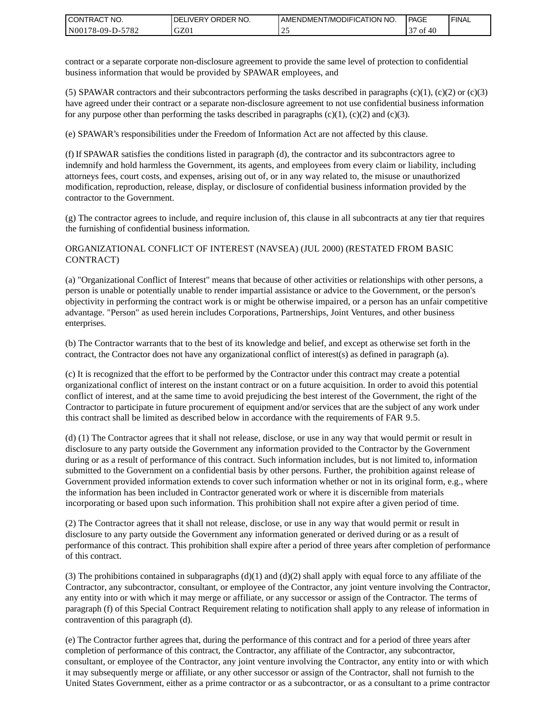| I CONTRACT NO.   | DELIVERY ORDER NO. | AMENDMENT/MODIFICATION NO. | PAGE      | ' FINAL |
|------------------|--------------------|----------------------------|-----------|---------|
| N00178-09-D-5782 | GZ01               |                            | -40<br>0t |         |

contract or a separate corporate non-disclosure agreement to provide the same level of protection to confidential business information that would be provided by SPAWAR employees, and

(5) SPAWAR contractors and their subcontractors performing the tasks described in paragraphs  $(c)(1)$ ,  $(c)(2)$  or  $(c)(3)$ have agreed under their contract or a separate non-disclosure agreement to not use confidential business information for any purpose other than performing the tasks described in paragraphs  $(c)(1)$ ,  $(c)(2)$  and  $(c)(3)$ .

(e) SPAWAR's responsibilities under the Freedom of Information Act are not affected by this clause.

(f) If SPAWAR satisfies the conditions listed in paragraph (d), the contractor and its subcontractors agree to indemnify and hold harmless the Government, its agents, and employees from every claim or liability, including attorneys fees, court costs, and expenses, arising out of, or in any way related to, the misuse or unauthorized modification, reproduction, release, display, or disclosure of confidential business information provided by the contractor to the Government.

(g) The contractor agrees to include, and require inclusion of, this clause in all subcontracts at any tier that requires the furnishing of confidential business information.

#### ORGANIZATIONAL CONFLICT OF INTEREST (NAVSEA) (JUL 2000) (RESTATED FROM BASIC CONTRACT)

(a) "Organizational Conflict of Interest" means that because of other activities or relationships with other persons, a person is unable or potentially unable to render impartial assistance or advice to the Government, or the person's objectivity in performing the contract work is or might be otherwise impaired, or a person has an unfair competitive advantage. "Person" as used herein includes Corporations, Partnerships, Joint Ventures, and other business enterprises.

(b) The Contractor warrants that to the best of its knowledge and belief, and except as otherwise set forth in the contract, the Contractor does not have any organizational conflict of interest(s) as defined in paragraph (a).

(c) It is recognized that the effort to be performed by the Contractor under this contract may create a potential organizational conflict of interest on the instant contract or on a future acquisition. In order to avoid this potential conflict of interest, and at the same time to avoid prejudicing the best interest of the Government, the right of the Contractor to participate in future procurement of equipment and/or services that are the subject of any work under this contract shall be limited as described below in accordance with the requirements of FAR 9.5.

(d) (1) The Contractor agrees that it shall not release, disclose, or use in any way that would permit or result in disclosure to any party outside the Government any information provided to the Contractor by the Government during or as a result of performance of this contract. Such information includes, but is not limited to, information submitted to the Government on a confidential basis by other persons. Further, the prohibition against release of Government provided information extends to cover such information whether or not in its original form, e.g., where the information has been included in Contractor generated work or where it is discernible from materials incorporating or based upon such information. This prohibition shall not expire after a given period of time.

(2) The Contractor agrees that it shall not release, disclose, or use in any way that would permit or result in disclosure to any party outside the Government any information generated or derived during or as a result of performance of this contract. This prohibition shall expire after a period of three years after completion of performance of this contract.

(3) The prohibitions contained in subparagraphs  $(d)(1)$  and  $(d)(2)$  shall apply with equal force to any affiliate of the Contractor, any subcontractor, consultant, or employee of the Contractor, any joint venture involving the Contractor, any entity into or with which it may merge or affiliate, or any successor or assign of the Contractor. The terms of paragraph (f) of this Special Contract Requirement relating to notification shall apply to any release of information in contravention of this paragraph (d).

(e) The Contractor further agrees that, during the performance of this contract and for a period of three years after completion of performance of this contract, the Contractor, any affiliate of the Contractor, any subcontractor, consultant, or employee of the Contractor, any joint venture involving the Contractor, any entity into or with which it may subsequently merge or affiliate, or any other successor or assign of the Contractor, shall not furnish to the United States Government, either as a prime contractor or as a subcontractor, or as a consultant to a prime contractor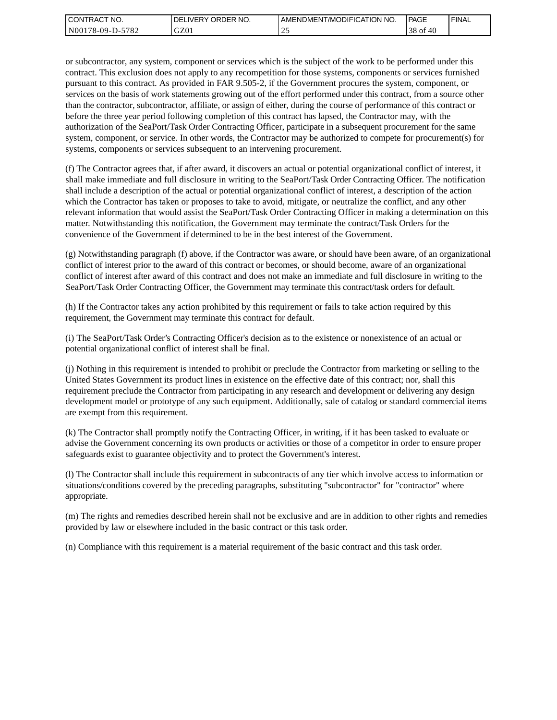| I CONTRACT NO.   | <b>IDELIVERY ORDER NO.</b> | AMENDMENT/MODIFICATION NO. | PAGE          | ' FINAL |
|------------------|----------------------------|----------------------------|---------------|---------|
| N00178-09-D-5782 | GZ01                       |                            | $38$ of<br>40 |         |

or subcontractor, any system, component or services which is the subject of the work to be performed under this contract. This exclusion does not apply to any recompetition for those systems, components or services furnished pursuant to this contract. As provided in FAR 9.505-2, if the Government procures the system, component, or services on the basis of work statements growing out of the effort performed under this contract, from a source other than the contractor, subcontractor, affiliate, or assign of either, during the course of performance of this contract or before the three year period following completion of this contract has lapsed, the Contractor may, with the authorization of the SeaPort/Task Order Contracting Officer, participate in a subsequent procurement for the same system, component, or service. In other words, the Contractor may be authorized to compete for procurement(s) for systems, components or services subsequent to an intervening procurement.

(f) The Contractor agrees that, if after award, it discovers an actual or potential organizational conflict of interest, it shall make immediate and full disclosure in writing to the SeaPort/Task Order Contracting Officer. The notification shall include a description of the actual or potential organizational conflict of interest, a description of the action which the Contractor has taken or proposes to take to avoid, mitigate, or neutralize the conflict, and any other relevant information that would assist the SeaPort/Task Order Contracting Officer in making a determination on this matter. Notwithstanding this notification, the Government may terminate the contract/Task Orders for the convenience of the Government if determined to be in the best interest of the Government.

(g) Notwithstanding paragraph (f) above, if the Contractor was aware, or should have been aware, of an organizational conflict of interest prior to the award of this contract or becomes, or should become, aware of an organizational conflict of interest after award of this contract and does not make an immediate and full disclosure in writing to the SeaPort/Task Order Contracting Officer, the Government may terminate this contract/task orders for default.

(h) If the Contractor takes any action prohibited by this requirement or fails to take action required by this requirement, the Government may terminate this contract for default.

(i) The SeaPort/Task Order's Contracting Officer's decision as to the existence or nonexistence of an actual or potential organizational conflict of interest shall be final.

(j) Nothing in this requirement is intended to prohibit or preclude the Contractor from marketing or selling to the United States Government its product lines in existence on the effective date of this contract; nor, shall this requirement preclude the Contractor from participating in any research and development or delivering any design development model or prototype of any such equipment. Additionally, sale of catalog or standard commercial items are exempt from this requirement.

(k) The Contractor shall promptly notify the Contracting Officer, in writing, if it has been tasked to evaluate or advise the Government concerning its own products or activities or those of a competitor in order to ensure proper safeguards exist to guarantee objectivity and to protect the Government's interest.

(l) The Contractor shall include this requirement in subcontracts of any tier which involve access to information or situations/conditions covered by the preceding paragraphs, substituting "subcontractor" for "contractor" where appropriate.

(m) The rights and remedies described herein shall not be exclusive and are in addition to other rights and remedies provided by law or elsewhere included in the basic contract or this task order.

(n) Compliance with this requirement is a material requirement of the basic contract and this task order.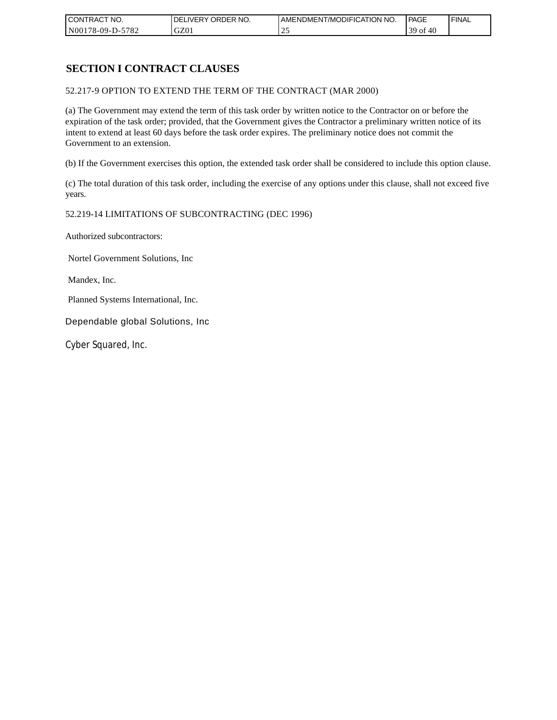| CONTRACT NO.     | <b>IDELIVERY ORDER NO.</b> | AMENDMENT/MODIFICATION NO. | <b>PAGE</b>                               | ' FINAL |
|------------------|----------------------------|----------------------------|-------------------------------------------|---------|
| N00178-09-D-5782 | GZ0 <sub>1</sub>           |                            | 39 <sub>of</sub><br>$\overline{ }$<br>∶4t |         |

# **SECTION I CONTRACT CLAUSES**

52.217-9 OPTION TO EXTEND THE TERM OF THE CONTRACT (MAR 2000)

(a) The Government may extend the term of this task order by written notice to the Contractor on or before the expiration of the task order; provided, that the Government gives the Contractor a preliminary written notice of its intent to extend at least 60 days before the task order expires. The preliminary notice does not commit the Government to an extension.

(b) If the Government exercises this option, the extended task order shall be considered to include this option clause.

(c) The total duration of this task order, including the exercise of any options under this clause, shall not exceed five years.

#### 52.219-14 LIMITATIONS OF SUBCONTRACTING (DEC 1996)

Authorized subcontractors:

Nortel Government Solutions, Inc

Mandex, Inc.

Planned Systems International, Inc.

Dependable global Solutions, Inc

Cyber Squared, Inc.